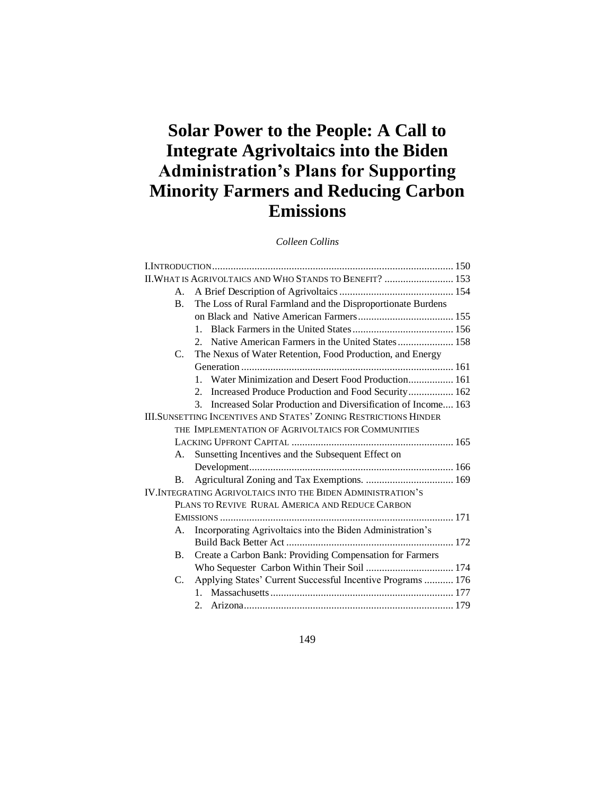# **Solar Power to the People: A Call to Integrate Agrivoltaics into the Biden Administration's Plans for Supporting Minority Farmers and Reducing Carbon Emissions**

*Colleen Collins*

|                | II. WHAT IS AGRIVOLTAICS AND WHO STANDS TO BENEFIT?  153                       |  |
|----------------|--------------------------------------------------------------------------------|--|
| А.             |                                                                                |  |
| $\mathbf{B}$ . | The Loss of Rural Farmland and the Disproportionate Burdens                    |  |
|                |                                                                                |  |
|                | $1_{-}$                                                                        |  |
|                | Native American Farmers in the United States 158<br>$2^{+}$                    |  |
| $C_{\cdot}$    | The Nexus of Water Retention, Food Production, and Energy                      |  |
|                |                                                                                |  |
|                | 1. Water Minimization and Desert Food Production 161                           |  |
|                | Increased Produce Production and Food Security 162<br>$2^{\circ}$              |  |
|                | Increased Solar Production and Diversification of Income 163<br>3 <sub>1</sub> |  |
|                | <b>III.SUNSETTING INCENTIVES AND STATES' ZONING RESTRICTIONS HINDER</b>        |  |
|                | THE IMPLEMENTATION OF AGRIVOLTAICS FOR COMMUNITIES                             |  |
|                |                                                                                |  |
| А.             | Sunsetting Incentives and the Subsequent Effect on                             |  |
|                |                                                                                |  |
| B.             |                                                                                |  |
|                | IV. INTEGRATING AGRIVOLTAICS INTO THE BIDEN ADMINISTRATION'S                   |  |
|                | PLANS TO REVIVE RURAL AMERICA AND REDUCE CARBON                                |  |
|                |                                                                                |  |
| А.             | Incorporating Agrivoltaics into the Biden Administration's                     |  |
|                |                                                                                |  |
| <b>B.</b>      | Create a Carbon Bank: Providing Compensation for Farmers                       |  |
|                |                                                                                |  |
| C.             | Applying States' Current Successful Incentive Programs  176                    |  |
|                |                                                                                |  |
|                |                                                                                |  |

149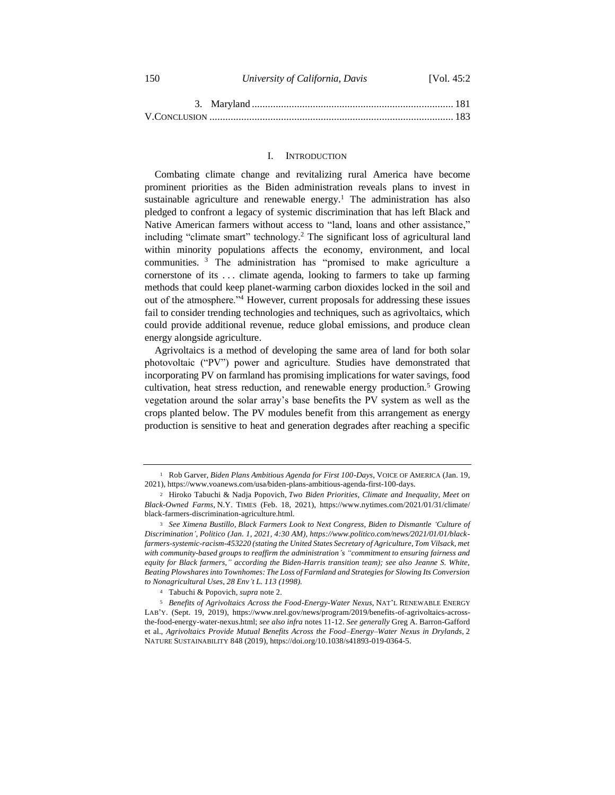| 150 | University of California, Davis | <b>IVol.</b> 45:2 |
|-----|---------------------------------|-------------------|
|     |                                 |                   |

#### I. INTRODUCTION

Combating climate change and revitalizing rural America have become prominent priorities as the Biden administration reveals plans to invest in sustainable agriculture and renewable energy.<sup>1</sup> The administration has also pledged to confront a legacy of systemic discrimination that has left Black and Native American farmers without access to "land, loans and other assistance," including "climate smart" technology.<sup>2</sup> The significant loss of agricultural land within minority populations affects the economy, environment, and local communities. <sup>3</sup> The administration has "promised to make agriculture a cornerstone of its . . . climate agenda, looking to farmers to take up farming methods that could keep planet-warming carbon dioxides locked in the soil and out of the atmosphere."<sup>4</sup> However, current proposals for addressing these issues fail to consider trending technologies and techniques, such as agrivoltaics, which could provide additional revenue, reduce global emissions, and produce clean energy alongside agriculture.

Agrivoltaics is a method of developing the same area of land for both solar photovoltaic ("PV") power and agriculture. Studies have demonstrated that incorporating PV on farmland has promising implications for water savings, food cultivation, heat stress reduction, and renewable energy production.<sup>5</sup> Growing vegetation around the solar array's base benefits the PV system as well as the crops planted below. The PV modules benefit from this arrangement as energy production is sensitive to heat and generation degrades after reaching a specific

<sup>1</sup> Rob Garver, *Biden Plans Ambitious Agenda for First 100-Days*, VOICE OF AMERICA (Jan. 19, 2021), https://www.voanews.com/usa/biden-plans-ambitious-agenda-first-100-days.

<sup>2</sup> Hiroko Tabuchi & Nadja Popovich, *Two Biden Priorities, Climate and Inequality, Meet on Black-Owned Farms*, N.Y. TIMES (Feb. 18, 2021), https://www.nytimes.com/2021/01/31/climate/ black-farmers-discrimination-agriculture.html.

<sup>3</sup> *See Ximena Bustillo, Black Farmers Look to Next Congress, Biden to Dismantle 'Culture of Discrimination', Politico (Jan. 1, 2021, 4:30 AM), https://www.politico.com/news/2021/01/01/blackfarmers-systemic-racism-453220 (stating the United States Secretary of Agriculture, Tom Vilsack, met with community-based groups to reaffirm the administration's "commitment to ensuring fairness and equity for Black farmers," according the Biden-Harris transition team); see also Jeanne S. White, Beating Plowshares into Townhomes: The Loss of Farmland and Strategies for Slowing Its Conversion to Nonagricultural Uses, 28 Env't L. 113 (1998).*

<sup>4</sup> Tabuchi & Popovich, *supra* note 2.

<sup>5</sup> *Benefits of Agrivoltaics Across the Food-Energy-Water Nexus,* NAT'L RENEWABLE ENERGY LAB'Y. (Sept. 19, 2019), https://www.nrel.gov/news/program/2019/benefits-of-agrivoltaics-acrossthe-food-energy-water-nexus.html; *see also infra* notes 11-12. *See generally* Greg A. Barron-Gafford et al., *Agrivoltaics Provide Mutual Benefits Across the Food–Energy–Water Nexus in Drylands,* 2 NATURE SUSTAINABILITY 848 (2019), https://doi.org/10.1038/s41893-019-0364-5.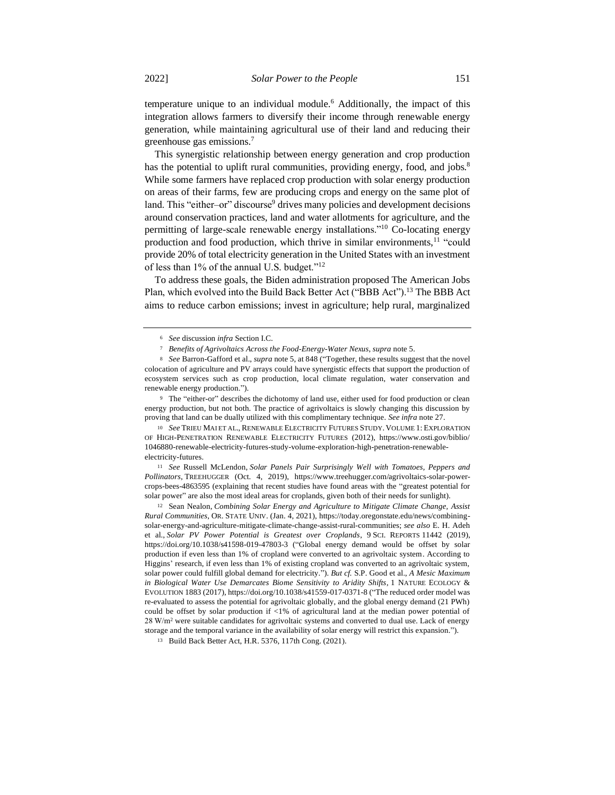temperature unique to an individual module.<sup>6</sup> Additionally, the impact of this integration allows farmers to diversify their income through renewable energy generation, while maintaining agricultural use of their land and reducing their greenhouse gas emissions.<sup>7</sup>

This synergistic relationship between energy generation and crop production has the potential to uplift rural communities, providing energy, food, and jobs.<sup>8</sup> While some farmers have replaced crop production with solar energy production on areas of their farms, few are producing crops and energy on the same plot of land. This "either–or" discourse<sup>9</sup> drives many policies and development decisions around conservation practices, land and water allotments for agriculture, and the permitting of large-scale renewable energy installations."<sup>10</sup> Co-locating energy production and food production, which thrive in similar environments,<sup>11</sup> "could provide 20% of total electricity generation in the United States with an investment of less than  $1\%$  of the annual U.S. budget."<sup>12</sup>

To address these goals, the Biden administration proposed The American Jobs Plan, which evolved into the Build Back Better Act ("BBB Act").<sup>13</sup> The BBB Act aims to reduce carbon emissions; invest in agriculture; help rural, marginalized

<sup>9</sup> The "either-or" describes the dichotomy of land use, either used for food production or clean energy production, but not both. The practice of agrivoltaics is slowly changing this discussion by proving that land can be dually utilized with this complimentary technique. *See infra* note 27.

<sup>10</sup> See TRIEU MAI ET AL., RENEWABLE ELECTRICITY FUTURES STUDY. VOLUME 1: EXPLORATION OF HIGH-PENETRATION RENEWABLE ELECTRICITY FUTURES (2012), https://www.osti.gov/biblio/ 1046880-renewable-electricity-futures-study-volume-exploration-high-penetration-renewableelectricity-futures.

<sup>11</sup> *See* Russell McLendon, *Solar Panels Pair Surprisingly Well with Tomatoes, Peppers and Pollinators*, TREEHUGGER (Oct. 4, 2019), [https://www.treehugger.com/agrivoltaics-solar-power](about:blank)[crops-bees-4863595](about:blank) (explaining that recent studies have found areas with the "greatest potential for solar power" are also the most ideal areas for croplands, given both of their needs for sunlight).

<sup>12</sup> Sean Nealon, *Combining Solar Energy and Agriculture to Mitigate Climate Change, Assist Rural Communities*, OR. STATE UNIV. (Jan. 4, 2021), [https://today.oregonstate.edu/news/combining](about:blank)[solar-energy-and-agriculture-mitigate-climate-change-assist-rural-communities;](about:blank) *see also* E. H. Adeh et al*.*, *Solar PV Power Potential is Greatest over Croplands*, 9 SCI. REPORTS 11442 (2019), [https://doi.org/10.1038/s41598-019-47803-3](about:blank) ("Global energy demand would be offset by solar production if even less than 1% of cropland were converted to an agrivoltaic system. According to Higgins' research, if even less than 1% of existing cropland was converted to an agrivoltaic system, solar power could fulfill global demand for electricity."). *But cf.* S.P. Good et al., *A Mesic Maximum in Biological Water Use Demarcates Biome Sensitivity to Aridity Shifts,* 1 NATURE ECOLOGY & EVOLUTION 1883 (2017), https://doi.org/10.1038/s41559-017-0371-8 ("The reduced order model was re-evaluated to assess the potential for agrivoltaic globally, and the global energy demand (21 PWh) could be offset by solar production if <1% of agricultural land at the median power potential of 28 W/m<sup>2</sup> were suitable candidates for agrivoltaic systems and converted to dual use. Lack of energy storage and the temporal variance in the availability of solar energy will restrict this expansion.").

<sup>13</sup> Build Back Better Act, H.R. 5376, 117th Cong. (2021).

<sup>6</sup> *See* discussion *infra* Section I.C.

<sup>7</sup> *Benefits of Agrivoltaics Across the Food-Energy-Water Nexus*, *supra* note 5.

<sup>8</sup> *See* Barron-Gafford et al., *supra* note 5, at 848 ("Together, these results suggest that the novel colocation of agriculture and PV arrays could have synergistic effects that support the production of ecosystem services such as crop production, local climate regulation, water conservation and renewable energy production.").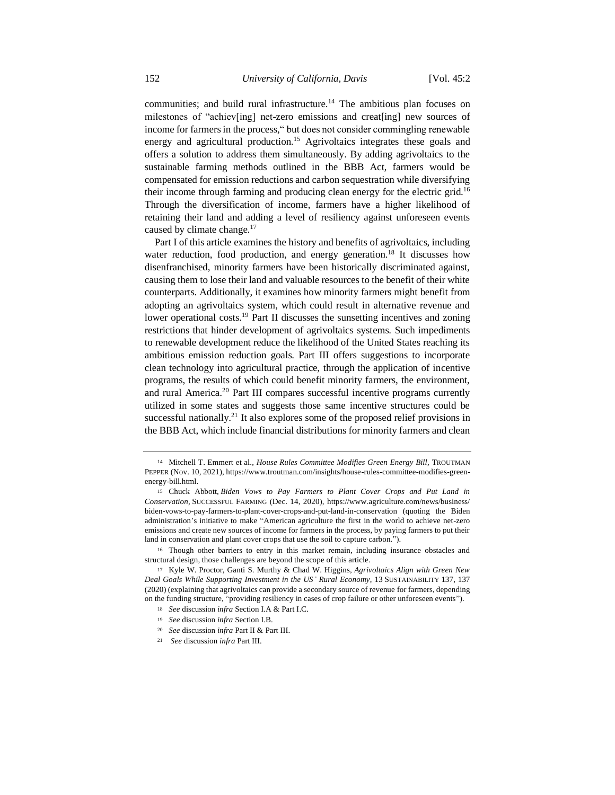communities; and build rural infrastructure.<sup>14</sup> The ambitious plan focuses on milestones of "achiev[ing] net-zero emissions and creat[ing] new sources of income for farmers in the process," but does not consider commingling renewable energy and agricultural production.<sup>15</sup> Agrivoltaics integrates these goals and offers a solution to address them simultaneously. By adding agrivoltaics to the sustainable farming methods outlined in the BBB Act, farmers would be compensated for emission reductions and carbon sequestration while diversifying their income through farming and producing clean energy for the electric grid.<sup>16</sup> Through the diversification of income, farmers have a higher likelihood of retaining their land and adding a level of resiliency against unforeseen events caused by climate change.<sup>17</sup>

Part I of this article examines the history and benefits of agrivoltaics, including water reduction, food production, and energy generation.<sup>18</sup> It discusses how disenfranchised, minority farmers have been historically discriminated against, causing them to lose their land and valuable resources to the benefit of their white counterparts. Additionally, it examines how minority farmers might benefit from adopting an agrivoltaics system, which could result in alternative revenue and lower operational costs.<sup>19</sup> Part II discusses the sunsetting incentives and zoning restrictions that hinder development of agrivoltaics systems. Such impediments to renewable development reduce the likelihood of the United States reaching its ambitious emission reduction goals. Part III offers suggestions to incorporate clean technology into agricultural practice, through the application of incentive programs, the results of which could benefit minority farmers, the environment, and rural America.<sup>20</sup> Part III compares successful incentive programs currently utilized in some states and suggests those same incentive structures could be successful nationally.<sup>21</sup> It also explores some of the proposed relief provisions in the BBB Act, which include financial distributions for minority farmers and clean

<sup>14</sup> Mitchell T. Emmert et al., *House Rules Committee Modifies Green Energy Bill,* TROUTMAN PEPPER (Nov. 10, 2021), https://www.troutman.com/insights/house-rules-committee-modifies-greenenergy-bill.html.

<sup>15</sup> Chuck Abbott, *Biden Vows to Pay Farmers to Plant Cover Crops and Put Land in Conservation,* SUCCESSFUL FARMING (Dec. 14, 2020), https://www.agriculture.com/news/business/ biden-vows-to-pay-farmers-to-plant-cover-crops-and-put-land-in-conservation (quoting the Biden administration's initiative to make "American agriculture the first in the world to achieve net-zero emissions and create new sources of income for farmers in the process, by paying farmers to put their land in conservation and plant cover crops that use the soil to capture carbon.").

<sup>16</sup> Though other barriers to entry in this market remain, including insurance obstacles and structural design, those challenges are beyond the scope of this article.

<sup>17</sup> Kyle W. Proctor, Ganti S. Murthy & Chad W. Higgins, *Agrivoltaics Align with Green New Deal Goals While Supporting Investment in the US' Rural Economy*, 13 SUSTAINABILITY 137, 137 (2020) (explaining that agrivoltaics can provide a secondary source of revenue for farmers, depending on the funding structure, "providing resiliency in cases of crop failure or other unforeseen events").

<sup>18</sup> *See* discussion *infra* Section I.A & Part I.C.

<sup>19</sup> *See* discussion *infra* Section I.B.

<sup>20</sup> *See* discussion *infra* Part II & Part III.

<sup>21</sup> *See* discussion *infra* Part III.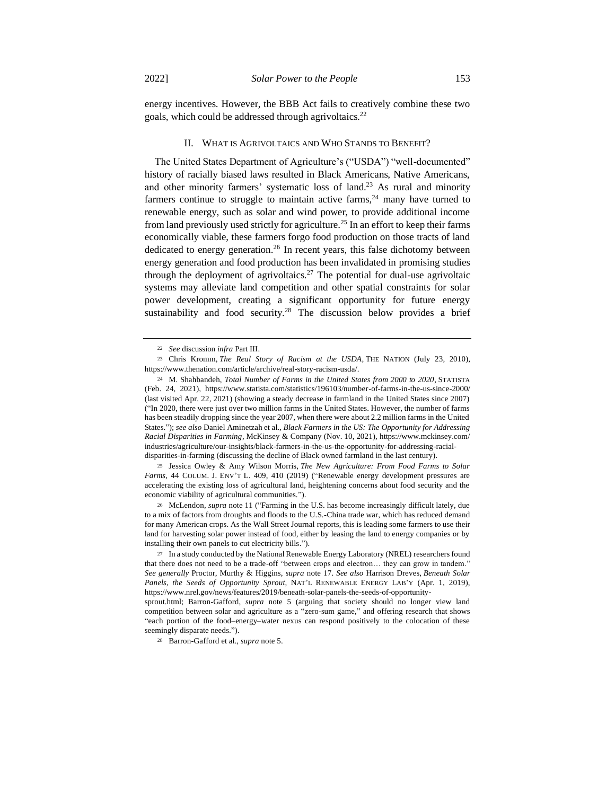energy incentives. However, the BBB Act fails to creatively combine these two goals, which could be addressed through agrivoltaics.<sup>22</sup>

#### II. WHAT IS AGRIVOLTAICS AND WHO STANDS TO BENEFIT?

The United States Department of Agriculture's ("USDA") "well-documented" history of racially biased laws resulted in Black Americans, Native Americans, and other minority farmers' systematic loss of land.<sup>23</sup> As rural and minority farmers continue to struggle to maintain active farms, $24$  many have turned to renewable energy, such as solar and wind power, to provide additional income from land previously used strictly for agriculture.<sup>25</sup> In an effort to keep their farms economically viable, these farmers forgo food production on those tracts of land dedicated to energy generation.<sup>26</sup> In recent years, this false dichotomy between energy generation and food production has been invalidated in promising studies through the deployment of agrivoltaics.<sup>27</sup> The potential for dual-use agrivoltaic systems may alleviate land competition and other spatial constraints for solar power development, creating a significant opportunity for future energy sustainability and food security.<sup>28</sup> The discussion below provides a brief

<sup>25</sup> Jessica Owley & Amy Wilson Morris, *The New Agriculture: From Food Farms to Solar Farms*, 44 COLUM. J. ENV'T L. 409, 410 (2019) ("Renewable energy development pressures are accelerating the existing loss of agricultural land, heightening concerns about food security and the economic viability of agricultural communities.").

<sup>26</sup> McLendon, *supra* note 11 ("Farming in the U.S. has become increasingly difficult lately, due to a mix of factors from droughts and floods to the U.S.-China trade war, which has reduced demand for many American crops. As the Wall Street Journal [reports,](about:blank) this is leading some farmers to use their land for harvesting solar power instead of food, either by leasing the land to energy companies or by installing their own panels to cut electricity bills.").

<sup>27</sup> In a study conducted by the National Renewable Energy Laboratory (NREL) researchers found that there does not need to be a trade-off "between crops and electron… they can grow in tandem." *See generally* Proctor, Murthy & Higgins, *supra* note 17. *See also* Harrison Dreves, *Beneath Solar Panels, the Seeds of Opportunity Sprout,* NAT'L RENEWABLE ENERGY LAB'Y (Apr. 1, 2019), https://www.nrel.gov/news/features/2019/beneath-solar-panels-the-seeds-of-opportunity-

sprout.html; Barron-Gafford, *supra* note 5 (arguing that society should no longer view land competition between solar and agriculture as a "zero-sum game," and offering research that shows "each portion of the food–energy–water nexus can respond positively to the colocation of these seemingly disparate needs.").

<sup>28</sup> Barron-Gafford et al., *supra* note 5.

<sup>22</sup> *See* discussion *infra* Part III.

<sup>23</sup> Chris Kromm, *The Real Story of Racism at the USDA*, THE NATION (July 23, 2010), https://www.thenation.com/article/archive/real-story-racism-usda/.

<sup>24</sup> M. Shahbandeh, *Total Number of Farms in the United States from 2000 to 2020*, STATISTA (Feb. 24, 2021), https://www.statista.com/statistics/196103/number-of-farms-in-the-us-since-2000/ (last visited Apr. 22, 2021) (showing a steady decrease in farmland in the United States since 2007) ("In 2020, there were just over two million farms in the United States. However, the number of farms has been steadily dropping since the year 2007, when there were about 2.2 million farms in the United States."); *see also* Daniel Aminetzah et al., *Black Farmers in the US: The Opportunity for Addressing Racial Disparities in Farming*, McKinsey & Company (Nov. 10, 2021), https://www.mckinsey.com/ industries/agriculture/our-insights/black-farmers-in-the-us-the-opportunity-for-addressing-racialdisparities-in-farming (discussing the decline of Black owned farmland in the last century).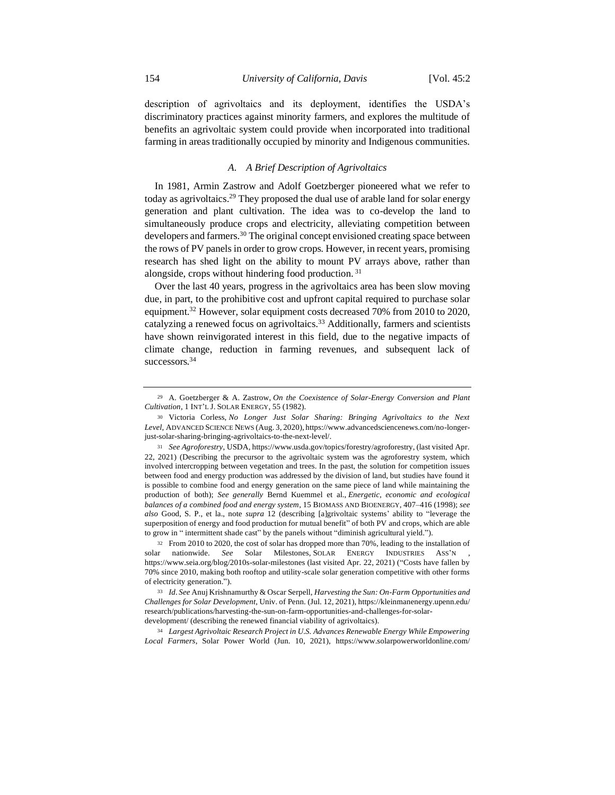description of agrivoltaics and its deployment, identifies the USDA's discriminatory practices against minority farmers, and explores the multitude of benefits an agrivoltaic system could provide when incorporated into traditional farming in areas traditionally occupied by minority and Indigenous communities.

# *A. A Brief Description of Agrivoltaics*

In 1981, Armin Zastrow and Adolf Goetzberger pioneered what we refer to today as agrivoltaics.<sup>29</sup> They proposed the dual use of arable land for solar energy generation and plant cultivation. The idea was to co-develop the land to simultaneously produce crops and electricity, alleviating competition between developers and farmers.<sup>30</sup> The original concept envisioned creating space between the rows of PV panels in order to grow crops. However, in recent years, promising research has shed light on the ability to mount PV arrays above, rather than alongside, crops without hindering food production. <sup>31</sup>

Over the last 40 years, progress in the agrivoltaics area has been slow moving due, in part, to the prohibitive cost and upfront capital required to purchase solar equipment.<sup>32</sup> However, solar equipment costs decreased 70% from 2010 to 2020, catalyzing a renewed focus on agrivoltaics.<sup>33</sup> Additionally, farmers and scientists have shown reinvigorated interest in this field, due to the negative impacts of climate change, reduction in farming revenues, and subsequent lack of successors.<sup>34</sup>

<sup>34</sup> *Largest Agrivoltaic Research Project in U.S. Advances Renewable Energy While Empowering Local Farmers*, Solar Power World (Jun. 10, 2021), https://www.solarpowerworldonline.com/

<sup>29</sup> A. Goetzberger & A. Zastrow, *On the Coexistence of Solar-Energy Conversion and Plant Cultivation*, 1 INT'L J. SOLAR ENERGY, 55 (1982).

<sup>30</sup> Victoria Corless, *No Longer Just Solar Sharing: Bringing Agrivoltaics to the Next Level*, ADVANCED SCIENCE NEWS (Aug. 3, 2020), https://www.advancedsciencenews.com/no-longerjust-solar-sharing-bringing-agrivoltaics-to-the-next-level/.

<sup>31</sup> *See Agroforestry*, USDA, https://www.usda.gov/topics/forestry/agroforestry, (last visited Apr. 22, 2021) (Describing the precursor to the agrivoltaic system was the agroforestry system, which involved intercropping between vegetation and trees. In the past, the solution for competition issues between food and energy production was addressed by the division of land, but studies have found it is possible to combine food and energy generation on the same piece of land while maintaining the production of both); *See generally* Bernd Kuemmel et al., *Energetic, economic and ecological balances of a combined food and energy system*, 15 BIOMASS AND BIOENERGY, 407–416 (1998); *see also* Good, S. P., et la., note *supra* 12 (describing [a]grivoltaic systems' ability to "leverage the superposition of energy and food production for mutual benefit" of both PV and crops, which are able to grow in " intermittent shade cast" by the panels without "diminish agricultural yield.").

<sup>&</sup>lt;sup>32</sup> From 2010 to 2020, the cost of solar has dropped more than 70%, leading to the installation of solar nationwide. See Solar Milestones, SOLAR ENERGY INDUSTRIES ASS'N https://www.seia.org/blog/2010s-solar-milestones (last visited Apr. 22, 2021) ("Costs have fallen by 70% since 2010, making both rooftop and utility-scale solar generation competitive with other forms of electricity generation.").

<sup>33</sup> *Id*. *See* Anuj Krishnamurthy & Oscar Serpell, *Harvesting the Sun: On-Farm Opportunities and Challenges for Solar Development*, Univ. of Penn. (Jul. 12, 2021), https://kleinmanenergy.upenn.edu/ research/publications/harvesting-the-sun-on-farm-opportunities-and-challenges-for-solardevelopmen[t/](about:blank) (describing the renewed financial viability of agrivoltaics).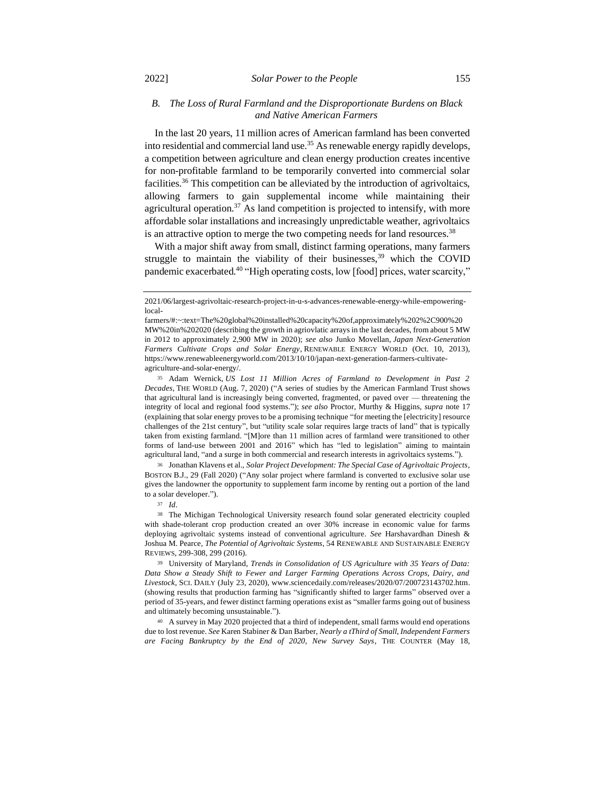# *B. The Loss of Rural Farmland and the Disproportionate Burdens on Black and Native American Farmers*

In the last 20 years, 11 million acres of American farmland has been converted into residential and commercial land use.<sup>35</sup> As renewable energy rapidly develops, a competition between agriculture and clean energy production creates incentive for non-profitable farmland to be temporarily converted into commercial solar facilities.<sup>36</sup> This competition can be alleviated by the introduction of agrivoltaics, allowing farmers to gain supplemental income while maintaining their agricultural operation. $37$  As land competition is projected to intensify, with more affordable solar installations and increasingly unpredictable weather, agrivoltaics is an attractive option to merge the two competing needs for land resources.<sup>38</sup>

With a major shift away from small, distinct farming operations, many farmers struggle to maintain the viability of their businesses, $39$  which the COVID pandemic exacerbated.<sup>40</sup> "High operating costs, low [food] prices, water scarcity,"

<sup>35</sup> Adam Wernick, *US Lost 11 Million Acres of Farmland to Development in Past 2 Decades*, THE WORLD (Aug. 7, 2020) ("A series of studies by the [American Farmland Trust](about:blank) shows that agricultural land is increasingly being converted, fragmented, or paved over — threatening the integrity of local and regional food systems."); *see also* Proctor, Murthy & Higgins, *supra* note 17 (explaining that solar energy proves to be a promising technique "for meeting the [electricity] resource challenges of the 21st century", but "utility scale solar requires large tracts of land" that is typically taken from existing farmland. "[M]ore than 11 million acres of farmland were transitioned to other forms of land-use between 2001 and 2016" which has "led to legislation" aiming to maintain agricultural land, "and a surge in both commercial and research interests in agrivoltaics systems.").

<sup>36</sup> Jonathan Klavens et al., *Solar Project Development: The Special Case of Agrivoltaic Projects*, BOSTON B.J., 29 (Fall 2020) ("Any solar project where farmland is converted to exclusive solar use gives the landowner the opportunity to supplement farm income by renting out a portion of the land to a solar developer.").

<sup>37</sup> *Id*.

<sup>38</sup> The Michigan Technological University research found solar generated electricity coupled with shade-tolerant crop production created an over 30% increase in economic value for farms deploying agrivoltaic systems instead of conventional agriculture. *See* Harshavardhan Dinesh & Joshua M. Pearce, *The Potential of Agrivoltaic Systems*, 54 RENEWABLE AND SUSTAINABLE ENERGY REVIEWS, 299-308, 299 (2016).

<sup>39</sup> University of Maryland, *Trends in Consolidation of US Agriculture with 35 Years of Data: Data Show a Steady Shift to Fewer and Larger Farming Operations Across Crops, Dairy, and Livestock*, SCI. DAILY (July 23, 2020)[, www.sciencedaily.com/releases/2020/07/200723143702.htm.](about:blank) (showing results that production farming has "significantly shifted to larger farms" observed over a period of 35-years, and fewer distinct farming operations exist as "smaller farms going out of business and ultimately becoming unsustainable.").

<sup>40</sup> A survey in May 2020 projected that a third of independent, small farms would end operations due to lost revenue. *See* Karen Stabiner & Dan Barber, *Nearly a tThird of Small, Independent Farmers are Facing Bankruptcy by the End of 2020, New Survey Says*, THE COUNTER (May 18,

<sup>2021/06/</sup>largest-agrivoltaic-research-project-in-u-s-advances-renewable-energy-while-empoweringlocal-

farmers/#:~:text=The%20global%20installed%20capacity%20of,approximately%202%2C900%20 MW%20in%202020 (describing the growth in agriovlatic arrays in the last decades, from about 5 MW in 2012 to approximately 2,900 MW in 2020); *see also* Junko Movellan, *Japan Next-Generation Farmers Cultivate Crops and Solar Energy*, RENEWABLE ENERGY WORLD (Oct. 10, 2013), https://www.renewableenergyworld.com/2013/10/10/japan-next-generation-farmers-cultivateagriculture-and-solar-energy/.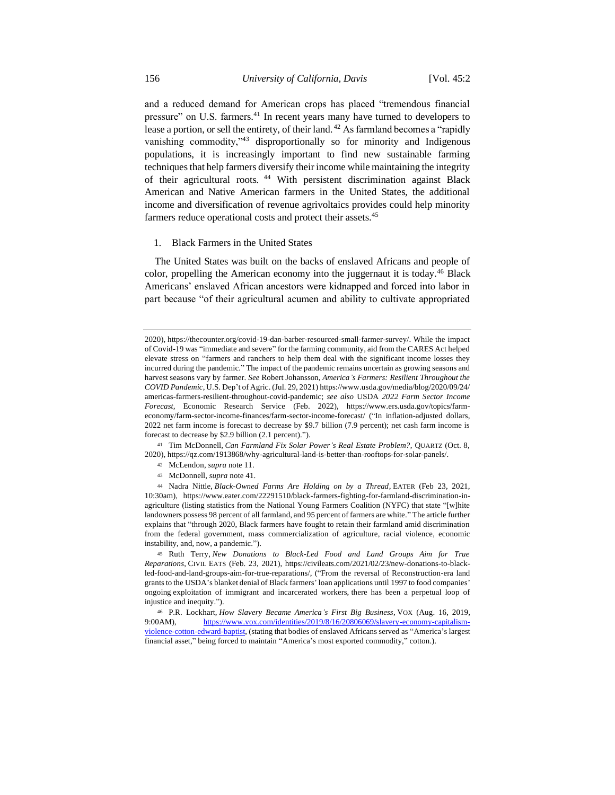and a reduced demand for American crops has placed "tremendous financial pressure" on U.S. farmers.<sup>41</sup> In recent years many have turned to developers to lease a portion, or sell the entirety, of their land.<sup>42</sup> As farmland becomes a "rapidly vanishing commodity,"<sup>43</sup> disproportionally so for minority and Indigenous populations, it is increasingly important to find new sustainable farming techniques that help farmers diversify their income while maintaining the integrity of their agricultural roots. <sup>44</sup> With persistent discrimination against Black American and Native American farmers in the United States, the additional income and diversification of revenue agrivoltaics provides could help minority farmers reduce operational costs and protect their assets.<sup>45</sup>

# 1. Black Farmers in the United States

The United States was built on the backs of enslaved Africans and people of color, propelling the American economy into the juggernaut it is today.<sup>46</sup> Black Americans' enslaved African ancestors were kidnapped and forced into labor in part because "of their agricultural acumen and ability to cultivate appropriated

<sup>41</sup> Tim McDonnell, *Can Farmland Fix Solar Power's Real Estate Problem?*, QUARTZ (Oct. 8, 2020), https://qz.com/1913868/why-agricultural-land-is-better-than-rooftops-for-solar-panels/.

- <sup>42</sup> McLendon, *supra* note 11.
- <sup>43</sup> McDonnell, *supra* note 41.

<sup>44</sup> Nadra Nittle, *Black-Owned Farms Are Holding on by a Thread*, EATER (Feb 23, 2021, 10:30am), [https://www.eater.com/22291510/black-farmers-fighting-for-farmland-discrimination-in](about:blank)[agriculture](about:blank) (listing statistics from the National Young Farmers Coalition (NYFC) that state "[w]hite landowners possess 98 percent of all farmland, and 95 percent of farmers are white." The article further explains that "through 2020, Black farmers have fought to retain their farmland amid discrimination from the federal government, mass commercialization of agriculture, racial violence, economic instability, and, now, a pandemic.").

<sup>45</sup> Ruth Terry, *New Donations to Black-Led Food and Land Groups Aim for True Reparations*, CIVIL EATS (Feb. 23, 2021), [https://civileats.com/2021/02/23/new-donations-to-black](about:blank)[led-food-and-land-groups-aim-for-true-reparations/,](about:blank) ("From the reversal of Reconstruction-era land grants to the USDA's blanket denial of Black farmers' loan applications until 1997 to food companies' ongoing [exploitation of immigrant and incarcerated workers,](about:blank) there has been a perpetual loop of injustice and inequity.").

<sup>46</sup> P.R. Lockhart, *How Slavery Became America's First Big Business*, VOX (Aug. 16, 2019, 9:00AM), [https://www.vox.com/identities/2019/8/16/20806069/slavery-economy-capitalism](https://www.vox.com/identities/2019/8/16/20806069/slavery-economy-capitalism-violence-cotton-edward-baptist)[violence-cotton-edward-baptist,](https://www.vox.com/identities/2019/8/16/20806069/slavery-economy-capitalism-violence-cotton-edward-baptist) (stating that bodies of enslaved Africans served as "America's largest financial asset," being forced to maintain "America's most exported commodity," cotton.).

<sup>2020),</sup> [https://thecounter.org/covid-19-dan-barber-resourced-small-farmer-survey/.](about:blank) While the impact of Covid-19 was "immediate and severe" for the farming community, aid from the CARES Act helped elevate stress on "farmers and ranchers to help them deal with the significant income losses they incurred during the pandemic." The impact of the pandemic remains uncertain as growing seasons and harvest seasons vary by farmer. *See* Robert Johansson, *America's Farmers: Resilient Throughout the COVID Pandemic*, U.S. Dep't of Agric. (Jul. 29, 2021) https://www.usda.gov/media/blog/2020/09/24/ americas-farmers-resilient-throughout-covid-pandemic; *see also* USDA *2022 Farm Sector Income Forecast,* Economic Research Service (Feb. 2022), [https://www.ers.usda.gov/topics/farm](about:blank)[economy/farm-sector-income-finances/farm-sector-income-forecast/](about:blank) ("In inflation-adjusted dollars, 2022 net farm income is forecast to decrease by \$9.7 billion (7.9 percent); net cash farm income is forecast to decrease by \$2.9 billion (2.1 percent).").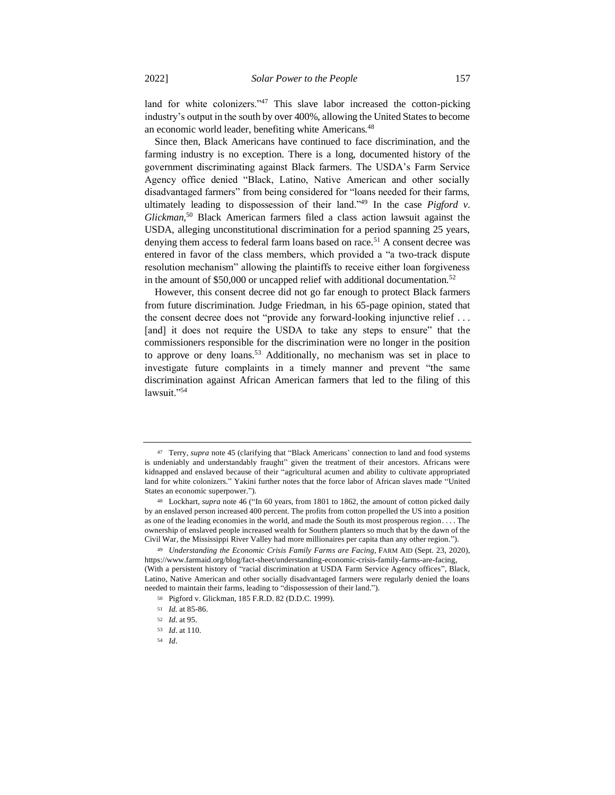land for white colonizers."<sup>47</sup> This slave labor increased the cotton-picking industry's output in the south by over 400%, allowing the United States to become an economic world leader, benefiting white Americans.<sup>48</sup>

Since then, Black Americans have continued to face discrimination, and the farming industry is no exception. There is a long, documented history of the government discriminating against Black farmers. The USDA's Farm Service Agency office denied "Black, Latino, Native American and other socially disadvantaged farmers" from being considered for "loans needed for their farms, ultimately leading to dispossession of their land."<sup>49</sup> In the case *Pigford v. Glickman,*<sup>50</sup> Black American farmers filed a class action lawsuit against the USDA, alleging unconstitutional discrimination for a period spanning 25 years, denying them access to federal farm loans based on race.<sup>51</sup> A consent decree was entered in favor of the class members, which provided a "a two-track dispute resolution mechanism" allowing the plaintiffs to receive either loan forgiveness in the amount of \$50,000 or uncapped relief with additional documentation.<sup>52</sup>

However, this consent decree did not go far enough to protect Black farmers from future discrimination. Judge Friedman, in his 65-page opinion, stated that the consent decree does not "provide any forward-looking injunctive relief . . . [and] it does not require the USDA to take any steps to ensure" that the commissioners responsible for the discrimination were no longer in the position to approve or deny loans.<sup>53</sup> Additionally, no mechanism was set in place to investigate future complaints in a timely manner and prevent "the same discrimination against African American farmers that led to the filing of this lawsuit."54

<sup>47</sup> Terry, *supra* note 45 (clarifying that "Black Americans' connection to land and food systems is undeniably and understandably fraught" given the treatment of their ancestors. Africans were kidnapped and enslaved because of their "agricultural acumen and ability to cultivate appropriated land for white colonizers." Yakini further notes that the force labor of African slaves made "United States an economic superpower.").

<sup>48</sup> Lockhart, *supra* note 46 ("In 60 years, from 1801 to 1862, the amount of cotton picked daily by an enslaved person increased 400 percent. The profits from cotton propelled the US into a position as one of the leading economies in the world, and made the South its most prosperous region. . . . The ownership of enslaved people increased wealth for Southern planters so much that by the dawn of the Civil War, the Mississippi River Valley had more millionaires per capita than any other region.").

<sup>49</sup> *Understanding the Economic Crisis Family Farms are Facing*, FARM AID (Sept. 23, 2020), [https://www.farmaid.org/blog/fact-sheet/understanding-economic-crisis-family-farms-are-facing,](about:blank) (With a persistent history of "racial discrimination at USDA Farm Service Agency offices", Black, Latino, Native American and other socially disadvantaged farmers were regularly denied the loans needed to maintain their farms, leading to "dispossession of their land.").

<sup>50</sup> Pigford v. Glickman, 185 F.R.D. 82 (D.D.C. 1999).

<sup>51</sup> *Id.* at 85-86.

<sup>52</sup> *Id.* at 95.

<sup>53</sup> *Id*. at 110.

<sup>54</sup> *Id*.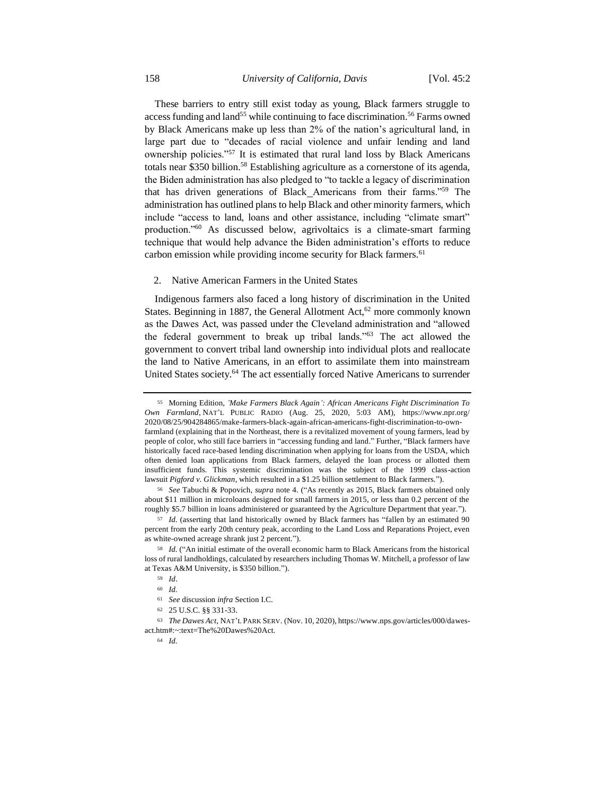These barriers to entry still exist today as young, Black farmers struggle to access funding and land<sup>55</sup> while continuing to face discrimination.<sup>56</sup> Farms owned by Black Americans make up less than 2% of the nation's agricultural land, in large part due to "decades of racial violence and unfair lending and land ownership policies."<sup>57</sup> It is estimated that rural land loss by Black Americans totals near \$350 billion.<sup>58</sup> Establishing agriculture as a cornerstone of its agenda, the Biden administration has also pledged to "to tackle a legacy of discrimination that has driven generations of Black Americans from their farms."<sup>59</sup> The administration has outlined plans to help Black and other minority farmers, which include "access to land, loans and other assistance, including "climate smart" production."<sup>60</sup> As discussed below, agrivoltaics is a climate-smart farming technique that would help advance the Biden administration's efforts to reduce carbon emission while providing income security for Black farmers.<sup>61</sup>

# 2. Native American Farmers in the United States

Indigenous farmers also faced a long history of discrimination in the United States. Beginning in 1887, the General Allotment Act,  $62$  more commonly known as the Dawes Act, was passed under the Cleveland administration and "allowed the federal government to break up tribal lands."<sup>63</sup> The act allowed the government to convert tribal land ownership into individual plots and reallocate the land to Native Americans, in an effort to assimilate them into mainstream United States society.<sup>64</sup> The act essentially forced Native Americans to surrender

<sup>62</sup> 25 U.S.C. §§ 331-33.

<sup>63</sup> *The Dawes Act*, NAT'L PARK SERV. (Nov. 10, 2020), https://www.nps.gov/articles/000/dawesact.htm#:~:text=The%20Dawes%20Act.

<sup>55</sup> Morning Edition, *'Make Farmers Black Again': African Americans Fight Discrimination To Own Farmland*, NAT'L PUBLIC RADIO (Aug. 25, 2020, 5:03 AM), https://www.npr.org/ 2020/08/25/904284865/make-farmers-black-again-african-americans-fight-discrimination-to-ownfarmland (explaining that in the Northeast, there is a revitalized movement of young farmers, lead by people of color, who still face barriers in "accessing funding and land." Further, "Black farmers have historically faced race-based lending discrimination when applying for loans from the USDA, which often denied loan applications from Black farmers, delayed the loan process or allotted them insufficient funds. This systemic discrimination was the subject of the 1999 class-action lawsuit *[Pigford v. Glickman](about:blank)*, which resulted in a \$1.25 billion settlement to Black farmers.").

<sup>56</sup> *See* Tabuchi & Popovich, *supra* note 4. ("As recently as 2015, Black farmers obtained only about \$11 million in microloans designed for small farmers in 2015, or less than 0.2 percent of the roughly \$5.7 billion in loans administered or guaranteed by the Agriculture Department that year.").

<sup>57</sup> *Id.* (asserting that land historically owned by Black farmers has "fallen by an estimated 90 percent from the early 20th century peak, according to the Land Loss and Reparations Project, even as white-owned acreage shrank just 2 percent.").

<sup>58</sup> *Id.* ("An initial estimate of the overall economic harm to Black Americans from the historical loss of rural landholdings, calculated by researchers including Thomas W. Mitchell, a professor of law at Texas A&M University, is \$350 billion.").

<sup>59</sup> *Id*.

<sup>60</sup> *Id.*

<sup>61</sup> *See* discussion *infra* Section I.C.

<sup>64</sup> *Id.*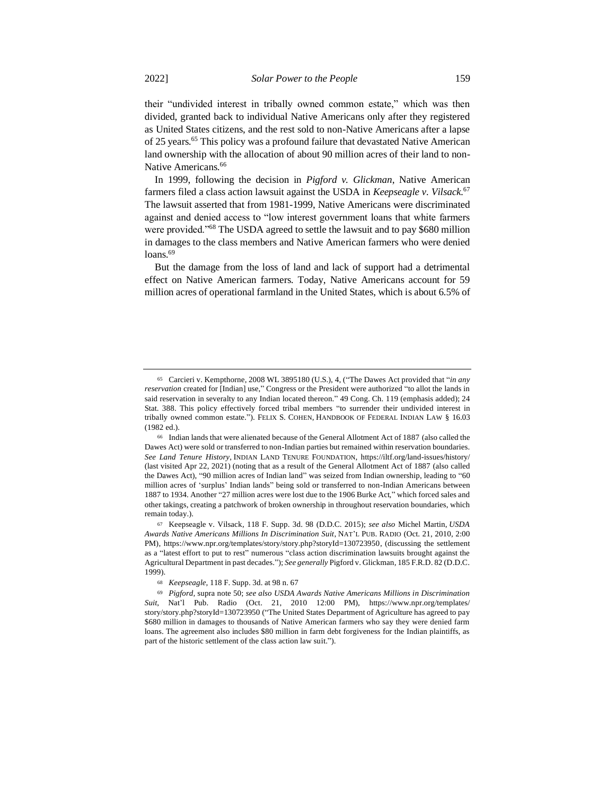their "undivided interest in tribally owned common estate," which was then divided, granted back to individual Native Americans only after they registered as United States citizens, and the rest sold to non-Native Americans after a lapse of 25 years.<sup>65</sup> This policy was a profound failure that devastated Native American land ownership with the allocation of about 90 million acres of their land to non-Native Americans.<sup>66</sup>

In 1999, following the decision in *Pigford v. Glickman*, Native American farmers filed a class action lawsuit against the USDA in *Keepseagle v. Vilsack.*<sup>67</sup> The lawsuit asserted that from 1981-1999, Native Americans were discriminated against and denied access to "low interest government loans that white farmers were provided."<sup>68</sup> The USDA agreed to settle the lawsuit and to pay \$680 million in damages to the class members and Native American farmers who were denied loans.<sup>69</sup>

But the damage from the loss of land and lack of support had a detrimental effect on Native American farmers. Today, Native Americans account for 59 million acres of operational farmland in the United States, which is about 6.5% of

<sup>65</sup> Carcieri v. Kempthorne, 2008 WL 3895180 (U.S.), 4, ("The Dawes Act provided that "*in any reservation* created for [Indian] use," Congress or the President were authorized "to allot the lands in said reservation in severalty to any Indian located thereon." 49 Cong. Ch. 119 (emphasis added); 24 Stat. 388. This policy effectively forced tribal members "to surrender their undivided interest in tribally owned common estate."). FELIX S. COHEN, HANDBOOK OF FEDERAL INDIAN LAW § 16.03 (1982 ed.).

<sup>66</sup> Indian lands that were alienated because of the General Allotment Act of 1887 (also called the Dawes Act) were sold or transferred to non-Indian parties but remained within reservation boundaries. *See Land Tenure History*, INDIAN LAND TENURE FOUNDATION, https://iltf.org/land-issues/history/ (last visited Apr 22, 2021) (noting that as a result of the General Allotment Act of 1887 (also called the Dawes Act), "90 million acres of Indian land" was seized from Indian ownership, leading to "60 million acres of 'surplus' Indian lands" being sold or transferred to non-Indian Americans between 1887 to 1934. Another "27 million acres were lost due to the 1906 Burke Act," which forced sales and other takings, creating a patchwork of broken ownership in throughout reservation boundaries, which remain today.).

<sup>67</sup> Keepseagle v. Vilsack*,* 118 F. Supp. 3d. 98 (D.D.C. 2015); *see also* Michel Martin, *USDA Awards Native Americans Millions In Discrimination Suit*, NAT'L PUB. RADIO (Oct. 21, 2010, 2:00 PM), [https://www.npr.org/templates/story/story.php?storyId=130723950,](about:blank) (discussing the settlement as a "latest effort to put to rest" numerous "class action discrimination lawsuits brought against the Agricultural Department in past decades."); *See generally* Pigford v. Glickman*,* 185 F.R.D. 82 (D.D.C. 1999).

<sup>68</sup> *Keepseagle,* 118 F. Supp. 3d. at 98 n. 67

<sup>69</sup> *Pigford,* supra note 50; *see also USDA Awards Native Americans Millions in Discrimination Suit*, Nat'l Pub. Radio (Oct. 21, 2010 12:00 PM), https://www.npr.org/templates/ story/story.php?storyId=130723950 ("The United States Department of Agriculture has agreed to pay \$680 million in damages to thousands of Native American farmers who say they were denied farm loans. The agreement also includes \$80 million in farm debt forgiveness for the Indian plaintiffs, as part of the historic settlement of the class action law suit.").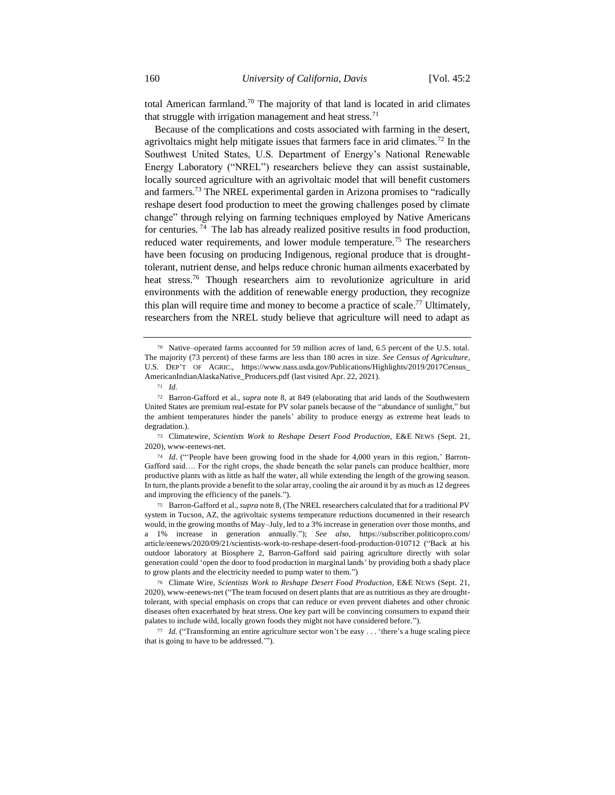total American farmland.<sup>70</sup> The majority of that land is located in arid climates that struggle with irrigation management and heat stress.<sup>71</sup>

Because of the complications and costs associated with farming in the desert, agrivoltaics might help mitigate issues that farmers face in arid climates.<sup>72</sup> In the Southwest United States, U.S. Department of Energy's National Renewable Energy Laboratory ("NREL") researchers believe they can assist sustainable, locally sourced agriculture with an agrivoltaic model that will benefit customers and farmers.<sup>73</sup> The NREL experimental garden in Arizona promises to "radically reshape desert food production to meet the growing challenges posed by climate change" through relying on farming techniques employed by Native Americans for centuries. <sup>74</sup> The lab has already realized positive results in food production, reduced water requirements, and lower module temperature.<sup>75</sup> The researchers have been focusing on producing Indigenous, regional produce that is droughttolerant, nutrient dense, and helps reduce chronic human ailments exacerbated by heat stress.<sup>76</sup> Though researchers aim to revolutionize agriculture in arid environments with the addition of renewable energy production, they recognize this plan will require time and money to become a practice of scale.<sup>77</sup> Ultimately, researchers from the NREL study believe that agriculture will need to adapt as

<sup>74</sup> *Id*. ("'People have been growing food in the shade for 4,000 years in this region,' Barron-Gafford said.... For the right crops, the shade beneath the solar panels can produce healthier, more productive plants with as little as half the water, all while extending the length of the growing season. In turn, the plants provide a benefit to the solar array, cooling the air around it by as much as 12 degrees and improving the efficiency of the panels.").

<sup>75</sup> Barron-Gafford et al., *supra* note 8, (The NREL researchers calculated that for a traditional PV system in Tucson, AZ, the agrivoltaic systems temperature reductions documented in their research would, in the growing months of May–July, led to a 3% increase in generation over those months, and a 1% increase in generation annually."); *See also*, https://subscriber.politicopro.com/ article/eenews/2020/09/21/scientists-work-to-reshape-desert-food-production-010712 ("Back at his outdoor laboratory at Biosphere 2, Barron-Gafford said pairing agriculture directly with solar generation could 'open the door to food production in marginal lands' by providing both a shady place to grow plants and the electricity needed to pump water to them.")

<sup>70</sup> Native–operated farms accounted for 59 million acres of land, 6.5 percent of the U.S. total. The majority (73 percent) of these farms are less than 180 acres in size. *See Census of Agriculture*, U.S. DEP'T OF AGRIC., https://www.nass.usda.gov/Publications/Highlights/2019/2017Census\_ AmericanIndianAlaskaNative\_Producers.pdf (last visited Apr. 22, 2021).

<sup>71</sup> *Id.*

<sup>72</sup> Barron-Gafford et al., *supra* note 8, at 849 (elaborating that arid lands of the Southwestern United States are premium real-estate for PV solar panels because of the "abundance of sunlight," but the ambient temperatures hinder the panels' ability to produce energy as extreme heat leads to degradation.).

<sup>73</sup> Climatewire, *Scientists Work to Reshape Desert Food Production,* E&E NEWS (Sept. 21, 2020), www-eenews-net.

<sup>76</sup> Climate Wire, *Scientists Work to Reshape Desert Food Production,* E&E NEWS (Sept. 21, 2020), www-eenews-net ("The team focused on desert plants that are as nutritious as they are droughttolerant, with special emphasis on crops that can reduce or even prevent diabetes and other chronic diseases often exacerbated by heat stress. One key part will be convincing consumers to expand their palates to include wild, locally grown foods they might not have considered before.").

<sup>77</sup> *Id.* ("Transforming an entire agriculture sector won't be easy . . . 'there's a huge scaling piece that is going to have to be addressed.'").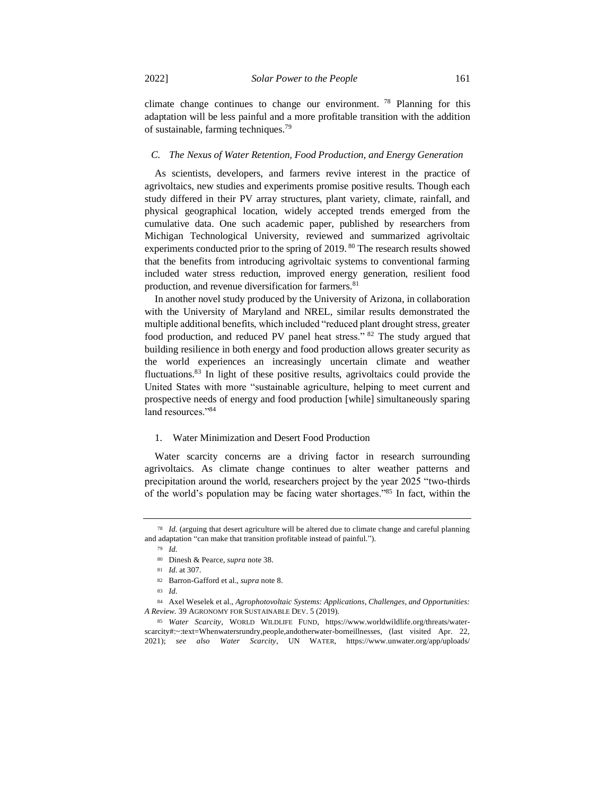climate change continues to change our environment. <sup>78</sup> Planning for this adaptation will be less painful and a more profitable transition with the addition of sustainable, farming techniques.<sup>79</sup>

# *C. The Nexus of Water Retention, Food Production, and Energy Generation*

As scientists, developers, and farmers revive interest in the practice of agrivoltaics, new studies and experiments promise positive results. Though each study differed in their PV array structures, plant variety, climate, rainfall, and physical geographical location, widely accepted trends emerged from the cumulative data. One such academic paper, published by researchers from Michigan Technological University, reviewed and summarized agrivoltaic experiments conducted prior to the spring of 2019. <sup>80</sup> The research results showed that the benefits from introducing agrivoltaic systems to conventional farming included water stress reduction, improved energy generation, resilient food production, and revenue diversification for farmers.<sup>81</sup>

In another novel study produced by the University of Arizona, in collaboration with the University of Maryland and NREL, similar results demonstrated the multiple additional benefits, which included "reduced plant drought stress, greater food production, and reduced PV panel heat stress." <sup>82</sup> The study argued that building resilience in both energy and food production allows greater security as the world experiences an increasingly uncertain climate and weather fluctuations.<sup>83</sup> In light of these positive results, agrivoltaics could provide the United States with more "sustainable agriculture, helping to meet current and prospective needs of energy and food production [while] simultaneously sparing land resources."<sup>84</sup>

#### 1. Water Minimization and Desert Food Production

Water scarcity concerns are a driving factor in research surrounding agrivoltaics. As climate change continues to alter weather patterns and precipitation around the world, researchers project by the year 2025 "two-thirds of the world's population may be facing water shortages."<sup>85</sup> In fact, within the

<sup>78</sup> *Id.* (arguing that desert agriculture will be altered due to climate change and careful planning and adaptation "can make that transition profitable instead of painful.").

<sup>79</sup> *Id.*

<sup>80</sup> Dinesh & Pearce, *supra* note 38.

<sup>81</sup> *Id.* at 307.

<sup>82</sup> Barron-Gafford et al., *supra* note 8.

<sup>83</sup> *Id.*

<sup>84</sup> Axel Weselek et al., *Agrophotovoltaic Systems: Applications, Challenges, and Opportunities: A Review.* 39 AGRONOMY FOR SUSTAINABLE DEV. 5 (2019).

<sup>85</sup> *Water Scarcity*, WORLD WILDLIFE FUND, https://www.worldwildlife.org/threats/waterscarcity#:~:text=Whenwatersrundry,people,andotherwater-borneillnesses, (last visited Apr. 22, 2021); *see also Water Scarcity*, UN WATER, https://www.unwater.org/app/uploads/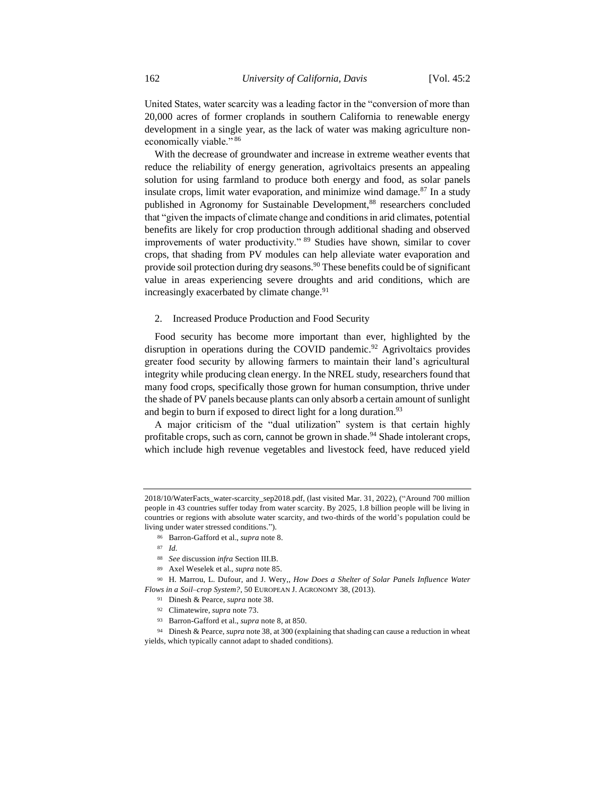United States, water scarcity was a leading factor in the "conversion of more than 20,000 acres of former croplands in southern California to renewable energy development in a single year, as the lack of water was making agriculture noneconomically viable."<sup>86</sup>

With the decrease of groundwater and increase in extreme weather events that reduce the reliability of energy generation, agrivoltaics presents an appealing solution for using farmland to produce both energy and food, as solar panels insulate crops, limit water evaporation, and minimize wind damage.<sup>87</sup> In a study published in Agronomy for Sustainable Development,<sup>88</sup> researchers concluded that "given the impacts of climate change and conditions in arid climates, potential benefits are likely for crop production through additional shading and observed improvements of water productivity." <sup>89</sup> Studies have shown, similar to cover crops, that shading from PV modules can help alleviate water evaporation and provide soil protection during dry seasons.<sup>90</sup> These benefits could be of significant value in areas experiencing severe droughts and arid conditions, which are increasingly exacerbated by climate change.<sup>91</sup>

#### 2. Increased Produce Production and Food Security

Food security has become more important than ever, highlighted by the disruption in operations during the COVID pandemic.<sup>92</sup> Agrivoltaics provides greater food security by allowing farmers to maintain their land's agricultural integrity while producing clean energy. In the NREL study, researchers found that many food crops, specifically those grown for human consumption, thrive under the shade of PV panels because plants can only absorb a certain amount of sunlight and begin to burn if exposed to direct light for a long duration.<sup>93</sup>

A major criticism of the "dual utilization" system is that certain highly profitable crops, such as corn, cannot be grown in shade.<sup>94</sup> Shade intolerant crops, which include high revenue vegetables and livestock feed, have reduced yield

<sup>87</sup> *Id.*

<sup>2018/10/</sup>WaterFacts\_water-scarcity\_sep2018.pdf, (last visited Mar. 31, 2022), ("Around 700 million people in 43 countries suffer today from water scarcity. By 2025, 1.8 billion people will be living in countries or regions with absolute water scarcity, and two-thirds of the world's population could be living under water stressed conditions.").

<sup>86</sup> Barron-Gafford et al., *supra* note 8.

<sup>88</sup> *See* discussion *infra* Section III.B.

<sup>89</sup> Axel Weselek et al., *supra* note 85.

<sup>90</sup> H. Marrou, L. Dufour, and J. Wery,, *How Does a Shelter of Solar Panels Influence Water Flows in a Soil–crop System?*, 50 EUROPEAN J. AGRONOMY 38, (2013).

<sup>91</sup> Dinesh & Pearce, *supra* note 38.

<sup>92</sup> Climatewire, *supra* note 73.

<sup>93</sup> Barron-Gafford et al., *supra* note 8, at 850.

<sup>94</sup> Dinesh & Pearce, *supra* note 38, at 300 (explaining that shading can cause a reduction in wheat yields, which typically cannot adapt to shaded conditions).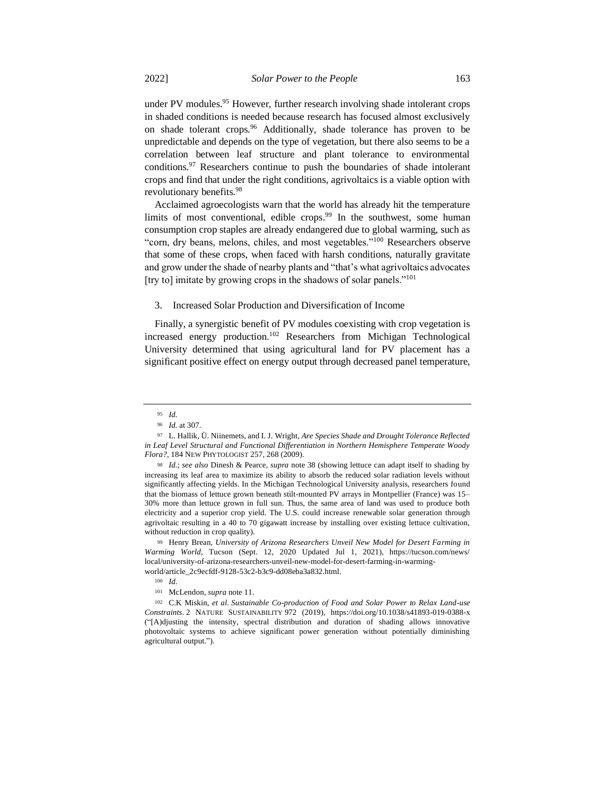under PV modules.<sup>95</sup> However, further research involving shade intolerant crops in shaded conditions is needed because research has focused almost exclusively on shade tolerant crops.<sup>96</sup> Additionally, shade tolerance has proven to be unpredictable and depends on the type of vegetation, but there also seems to be a correlation between leaf structure and plant tolerance to environmental conditions.<sup>97</sup> Researchers continue to push the boundaries of shade intolerant crops and find that under the right conditions, agrivoltaics is a viable option with revolutionary benefits.<sup>98</sup>

Acclaimed agroecologists warn that the world has already hit the temperature limits of most conventional, edible crops.<sup>99</sup> In the southwest, some human consumption crop staples are already endangered due to global warming, such as "corn, dry beans, melons, chiles, and most vegetables."<sup>100</sup> Researchers observe that some of these crops, when faced with harsh conditions, naturally gravitate and grow under the shade of nearby plants and "that's what agrivoltaics advocates [try to] imitate by growing crops in the shadows of solar panels."<sup>101</sup>

#### 3. Increased Solar Production and Diversification of Income

Finally, a synergistic benefit of PV modules coexisting with crop vegetation is increased energy production.<sup>102</sup> Researchers from Michigan Technological University determined that using agricultural land for PV placement has a significant positive effect on energy output through decreased panel temperature,

<sup>99</sup> Henry Brean, *University of Arizona Researchers Unveil New Model for Desert Farming in Warming World,* Tucson (Sept. 12, 2020 Updated Jul 1, 2021), https://tucson.com/news/ local/university-of-arizona-researchers-unveil-new-model-for-desert-farming-in-warmingworld/article\_2c9ecfdf-9128-53c2-b3c9-dd08eba3a832.html.

<sup>95</sup> *Id.*

<sup>96</sup> *Id.* at 307.

<sup>97</sup> L. Hallik, Ü. Niinemets, and I. J. Wright, *Are Species Shade and Drought Tolerance Reflected in Leaf Level Structural and Functional Differentiation in Northern Hemisphere Temperate Woody Flora?*, 184 NEW PHYTOLOGIST 257, 268 (2009).

<sup>98</sup> *Id.*; *see also* Dinesh & Pearce, *supra* note 38 (showing lettuce can adapt itself to shading by increasing its leaf area to maximize its ability to absorb the reduced solar radiation levels without significantly affecting yields. In the Michigan Technological University analysis, researchers found that the biomass of lettuce grown beneath stilt-mounted PV arrays in Montpellier (France) was 15– 30% more than lettuce grown in full sun. Thus, the same area of land was used to produce both electricity and a superior crop yield. The U.S. could increase renewable solar generation through agrivoltaic resulting in a 40 to 70 gigawatt increase by installing over existing lettuce cultivation, without reduction in crop quality).

<sup>100</sup> *Id.*

<sup>101</sup> McLendon, *supra* note 11.

<sup>102</sup> C.K Miskin, *et al. Sustainable Co-production of Food and Solar Power to Relax Land-use Constraints*. 2 NATURE SUSTAINABILITY 972 (2019), [https://doi.org/10.1038/s41893-019-0388-x](about:blank) ("[A)djusting the intensity, spectral distribution and duration of shading allows innovative photovoltaic systems to achieve significant power generation without potentially diminishing agricultural output.").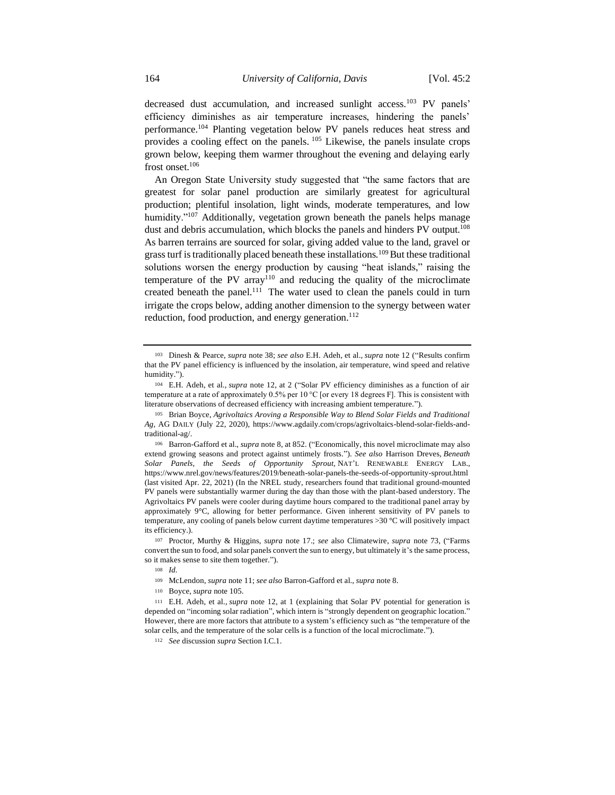decreased dust accumulation, and increased sunlight access.<sup>103</sup> PV panels' efficiency diminishes as air temperature increases, hindering the panels' performance.<sup>104</sup> Planting vegetation below PV panels reduces heat stress and provides a cooling effect on the panels. <sup>105</sup> Likewise, the panels insulate crops grown below, keeping them warmer throughout the evening and delaying early frost onset.<sup>106</sup>

An Oregon State University study suggested that "the same factors that are greatest for solar panel production are similarly greatest for agricultural production; plentiful insolation, light winds, moderate temperatures, and low humidity."<sup>107</sup> Additionally, vegetation grown beneath the panels helps manage dust and debris accumulation, which blocks the panels and hinders PV output.<sup>108</sup> As barren terrains are sourced for solar, giving added value to the land, gravel or grass turf is traditionally placed beneath these installations.<sup>109</sup> But these traditional solutions worsen the energy production by causing "heat islands," raising the temperature of the PV array<sup>110</sup> and reducing the quality of the microclimate created beneath the panel.<sup>111</sup> The water used to clean the panels could in turn irrigate the crops below, adding another dimension to the synergy between water reduction, food production, and energy generation.<sup>112</sup>

<sup>107</sup> Proctor, Murthy & Higgins, *supra* note 17.; *see* also Climatewire, *supra* note 73, ("Farms convert the sun to food, and solar panels convert the sun to energy, but ultimately it's the same process, so it makes sense to site them together.").

<sup>108</sup> *Id.*

- <sup>109</sup> McLendon, *supra* note 11; *see also* Barron-Gafford et al., *supra* note 8.
- <sup>110</sup> Boyce, *supra* note 105.

<sup>111</sup> E.H. Adeh, et al., *supra* note 12, at 1 (explaining that Solar PV potential for generation is depended on "incoming solar radiation", which intern is "strongly dependent on geographic location." However, there are more factors that attribute to a system's efficiency such as "the temperature of the solar cells, and the temperature of the solar cells is a function of the local microclimate.").

<sup>112</sup> *See* discussion *supra* Section I.C.1.

<sup>103</sup> Dinesh & Pearce, *supra* note 38; *see also* E.H. Adeh, et al.*, supra* note 12 ("Results confirm that the PV panel efficiency is influenced by the insolation, air temperature, wind speed and relative humidity.").

<sup>104</sup> E.H. Adeh, et al.*, supra* note 12, at 2 ("Solar PV efficiency diminishes as a function of air temperature at a rate of approximately 0.5% per 10 °C [or every 18 degrees F]. This is consistent with literature observations of decreased efficiency with increasing ambient temperature.").

<sup>105</sup> Brian Boyce, *Agrivoltaics Aroving a Responsible Way to Blend Solar Fields and Traditional Ag,* AG DAILY (July 22, 2020), [https://www.agdaily.com/crops/agrivoltaics-blend-solar-fields-and](about:blank)[traditional-ag/.](about:blank)

<sup>106</sup> Barron-Gafford et al., *supra* note 8, at 852. ("Economically, this novel microclimate may also extend growing seasons and protect against untimely frosts."). *See also* Harrison Dreves, *Beneath Solar Panels, the Seeds of Opportunity Sprout,* NAT'L RENEWABLE ENERGY LAB., https://www.nrel.gov/news/features/2019/beneath-solar-panels-the-seeds-of-opportunity-sprout.html (last visited Apr. 22, 2021) (In the NREL study, researchers found that traditional ground-mounted PV panels were substantially warmer during the day than those with the plant-based understory. The Agrivoltaics PV panels were cooler during daytime hours compared to the traditional panel array by approximately 9°C, allowing for better performance. Given inherent sensitivity of PV panels to temperature, any cooling of panels below current daytime temperatures >30 °C will positively impact its efficiency.).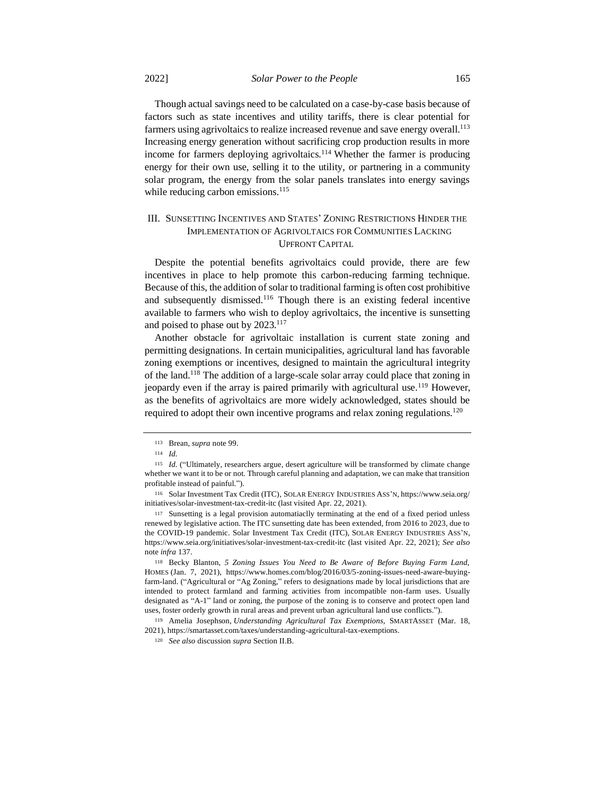Though actual savings need to be calculated on a case-by-case basis because of factors such as state incentives and utility tariffs, there is clear potential for farmers using agrivoltaics to realize increased revenue and save energy overall.<sup>113</sup> Increasing energy generation without sacrificing crop production results in more income for farmers deploying agrivoltaics.<sup>114</sup> Whether the farmer is producing energy for their own use, selling it to the utility, or partnering in a community solar program, the energy from the solar panels translates into energy savings while reducing carbon emissions.<sup>115</sup>

# III. SUNSETTING INCENTIVES AND STATES' ZONING RESTRICTIONS HINDER THE IMPLEMENTATION OF AGRIVOLTAICS FOR COMMUNITIES LACKING UPFRONT CAPITAL

Despite the potential benefits agrivoltaics could provide, there are few incentives in place to help promote this carbon-reducing farming technique. Because of this, the addition of solar to traditional farming is often cost prohibitive and subsequently dismissed.<sup>116</sup> Though there is an existing federal incentive available to farmers who wish to deploy agrivoltaics, the incentive is sunsetting and poised to phase out by 2023.<sup>117</sup>

Another obstacle for agrivoltaic installation is current state zoning and permitting designations. In certain municipalities, agricultural land has favorable zoning exemptions or incentives, designed to maintain the agricultural integrity of the land.<sup>118</sup> The addition of a large-scale solar array could place that zoning in jeopardy even if the array is paired primarily with agricultural use.<sup>119</sup> However, as the benefits of agrivoltaics are more widely acknowledged, states should be required to adopt their own incentive programs and relax zoning regulations.<sup>120</sup>

<sup>113</sup> Brean, *supra* note 99.

<sup>114</sup> *Id.*

<sup>115</sup> *Id.* ("Ultimately, researchers argue, desert agriculture will be transformed by climate change whether we want it to be or not. Through careful planning and adaptation, we can make that transition profitable instead of painful.").

<sup>116</sup> Solar Investment Tax Credit (ITC), SOLAR ENERGY INDUSTRIES ASS'N, https://www.seia.org/ initiatives/solar-investment-tax-credit-itc (last visited Apr. 22, 2021).

<sup>117</sup> Sunsetting is a legal provision automatiaclly terminating at the end of a fixed period unless renewed by legislative action. The ITC sunsetting date has been extended, from 2016 to 2023, due to the COVID-19 pandemic. Solar Investment Tax Credit (ITC), SOLAR ENERGY INDUSTRIES ASS'N, https://www.seia.org/initiatives/solar-investment-tax-credit-itc (last visited Apr. 22, 2021); *See also* note *infra* 137.

<sup>118</sup> Becky Blanton, *5 Zoning Issues You Need to Be Aware of Before Buying Farm Land,*  HOMES (Jan. 7, 2021), [https://www.homes.com/blog/2016/03/5-zoning-issues-need-aware-buying](about:blank)[farm-land.](about:blank) ("Agricultural or "Ag Zoning," refers to designations made by local jurisdictions that are intended to protect farmland and farming activities from incompatible non-farm uses. Usually designated as "A-1" land or zoning, the purpose of the zoning is to conserve and protect open land uses, foster orderly growth in rural areas and prevent urban agricultural land use conflicts.").

<sup>119</sup> Amelia Josephson, *Understanding Agricultural Tax Exemptions,* SMARTASSET (Mar. 18, 2021), https://smartasset.com/taxes/understanding-agricultural-tax-exemptions.

<sup>120</sup> *See also* discussion *supra* Section II.B.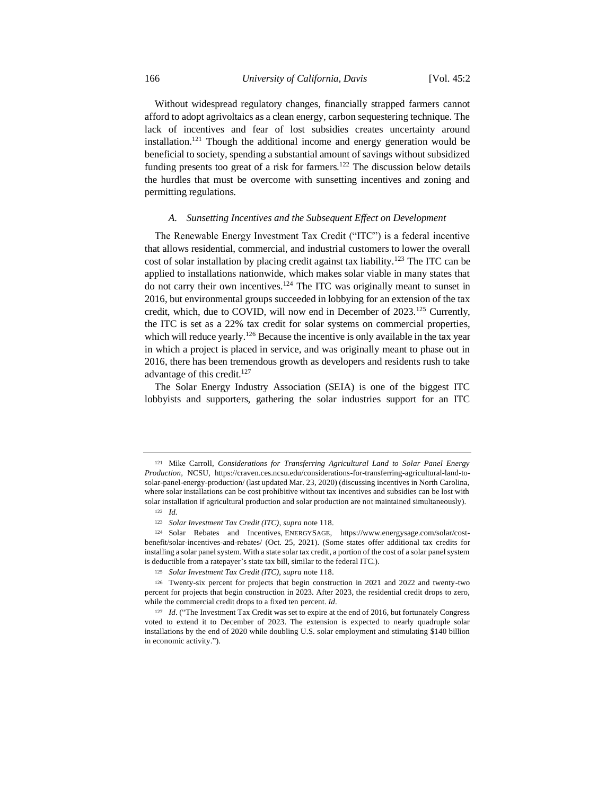Without widespread regulatory changes, financially strapped farmers cannot afford to adopt agrivoltaics as a clean energy, carbon sequestering technique. The lack of incentives and fear of lost subsidies creates uncertainty around installation.<sup>121</sup> Though the additional income and energy generation would be beneficial to society, spending a substantial amount of savings without subsidized funding presents too great of a risk for farmers.<sup>122</sup> The discussion below details the hurdles that must be overcome with sunsetting incentives and zoning and permitting regulations.

# *A. Sunsetting Incentives and the Subsequent Effect on Development*

The Renewable Energy Investment Tax Credit ("ITC") is a federal incentive that allows residential, commercial, and industrial customers to lower the overall cost of solar installation by placing credit against tax liability.<sup>123</sup> The ITC can be applied to installations nationwide, which makes solar viable in many states that do not carry their own incentives.<sup>124</sup> The ITC was originally meant to sunset in 2016, but environmental groups succeeded in lobbying for an extension of the tax credit, which, due to COVID, will now end in December of 2023.<sup>125</sup> Currently, the ITC is set as a 22% tax credit for solar systems on commercial properties, which will reduce yearly.<sup>126</sup> Because the incentive is only available in the tax year in which a project is placed in service, and was originally meant to phase out in 2016, there has been tremendous growth as developers and residents rush to take advantage of this credit.<sup>127</sup>

The Solar Energy Industry Association (SEIA) is one of the biggest ITC lobbyists and supporters, gathering the solar industries support for an ITC

<sup>121</sup> Mike Carroll, *Considerations for Transferring Agricultural Land to Solar Panel Energy Production*, NCSU, https://craven.ces.ncsu.edu/considerations-for-transferring-agricultural-land-tosolar-panel-energy-production/ (last updated Mar. 23, 2020) (discussing incentives in North Carolina, where solar installations can be cost prohibitive without tax incentives and subsidies can be lost with solar installation if agricultural production and solar production are not maintained simultaneously).

<sup>122</sup> *Id.*

<sup>123</sup> *Solar Investment Tax Credit (ITC)*, *supra* note 118.

<sup>124</sup> Solar Rebates and Incentives, ENERGYSAGE, https://www.energysage.com/solar/costbenefit/solar-incentives-and-rebates/ (Oct. 25, 2021). (Some states offer additional tax credits for installing a solar panel system. With a state solar tax credit, a portion of the cost of a solar panel system is deductible from a ratepayer's state tax bill, similar to the federal ITC.).

<sup>125</sup> *Solar Investment Tax Credit (ITC), supra* note 118.

<sup>126</sup> Twenty-six percent for projects that begin construction in 2021 and 2022 and twenty-two percent for projects that begin construction in 2023. After 2023, the residential credit drops to zero, while the commercial credit drops to a fixed ten percent. *Id*.

<sup>127</sup> *Id*. ("The Investment Tax Credit was set to expire at the end of 2016, but fortunately Congress voted to extend it to December of 2023. The extension is expected to nearly quadruple solar installations by the end of 2020 while doubling U.S. solar employment and stimulating \$140 billion in economic activity.").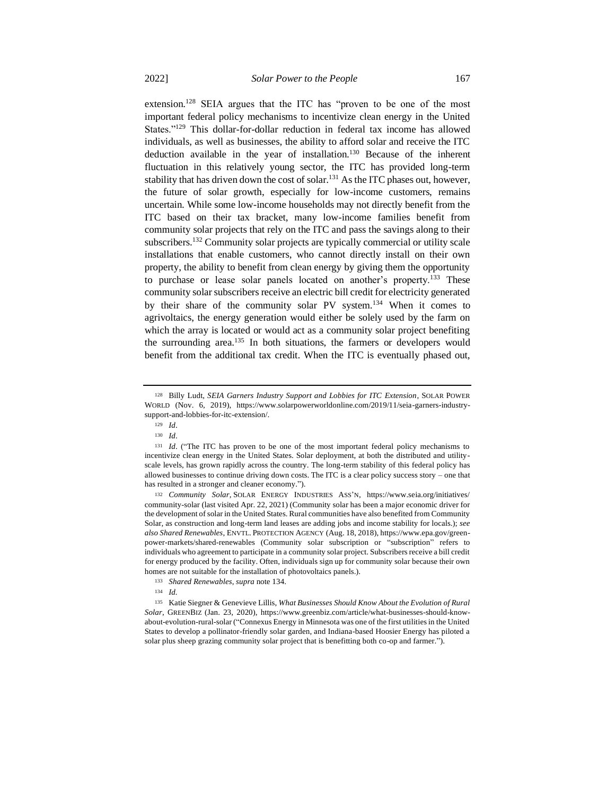extension.<sup>128</sup> SEIA argues that the ITC has "proven to be one of the most important federal policy mechanisms to incentivize clean energy in the United States."<sup>129</sup> This dollar-for-dollar reduction in federal tax income has allowed individuals, as well as businesses, the ability to afford solar and receive the ITC deduction available in the year of installation.<sup>130</sup> Because of the inherent fluctuation in this relatively young sector, the ITC has provided long-term stability that has driven down the cost of solar.<sup>131</sup> As the ITC phases out, however, the future of solar growth, especially for low-income customers, remains uncertain. While some low-income households may not directly benefit from the ITC based on their tax bracket, many low-income families benefit from community solar projects that rely on the ITC and pass the savings along to their subscribers.<sup>132</sup> Community solar projects are typically commercial or utility scale installations that enable customers, who cannot directly install on their own property, the ability to benefit from clean energy by giving them the opportunity to purchase or lease solar panels located on another's property.<sup>133</sup> These community solar subscribers receive an electric bill credit for electricity generated by their share of the community solar PV system.<sup>134</sup> When it comes to agrivoltaics, the energy generation would either be solely used by the farm on which the array is located or would act as a community solar project benefiting the surrounding area.<sup>135</sup> In both situations, the farmers or developers would benefit from the additional tax credit. When the ITC is eventually phased out,

<sup>128</sup> Billy Ludt, *SEIA Garners Industry Support and Lobbies for ITC Extension*, SOLAR POWER WORLD (Nov. 6, 2019), https://www.solarpowerworldonline.com/2019/11/seia-garners-industrysupport-and-lobbies-for-itc-extension/.

<sup>129</sup> *Id*.

<sup>130</sup> *Id*.

<sup>&</sup>lt;sup>131</sup> *Id.* ("The ITC has proven to be one of the most important federal policy mechanisms to incentivize clean energy in the United States. Solar deployment, at both the distributed and utilityscale levels, has grown rapidly across the country. The long-term stability of this federal policy has allowed businesses to continue driving down costs. The ITC is a clear policy success story – one that has resulted in a stronger and cleaner economy.").

<sup>132</sup> *Community Solar*, SOLAR ENERGY INDUSTRIES ASS'N, https://www.seia.org/initiatives/ community-solar (last visited Apr. 22, 2021) (Community solar has been a major economic driver for the development of solar in the United States. Rural communities have also benefited from Community Solar, as construction and long-term land leases are adding jobs and income stability for locals.); *see also Shared Renewables*, ENVTL. PROTECTION AGENCY (Aug. 18, 2018), https://www.epa.gov/greenpower-markets/shared-renewables (Community solar subscription or "subscription" refers to individuals who agreement to participate in a community solar project. Subscribers receive a bill credit for energy produced by the facility. Often, individuals sign up for community solar because their own homes are not suitable for the installation of photovoltaics panels.).

<sup>133</sup> *Shared Renewables*, *supra* note 134.

<sup>134</sup> *Id.*

<sup>135</sup> Katie Siegner & Genevieve Lillis, *What Businesses Should Know About the Evolution of Rural Solar*, GREENBIZ (Jan. 23, 2020), https://www.greenbiz.com/article/what-businesses-should-knowabout-evolution-rural-solar ("Connexus Energy in Minnesota was one of the first utilities in the United States to develop a pollinator-friendly solar garden, and Indiana-based Hoosier Energy has piloted a solar plus sheep grazing community solar project that is benefitting both co-op and farmer.").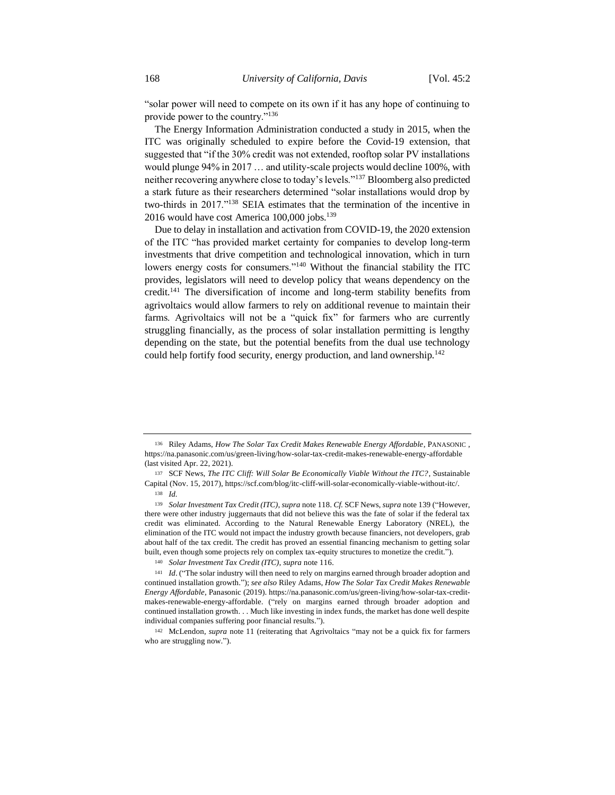"solar power will need to compete on its own if it has any hope of continuing to provide power to the country."<sup>136</sup>

The Energy Information Administration conducted a study in 2015, when the ITC was originally scheduled to expire before the Covid-19 extension, that suggested that "if the 30% credit was not extended, rooftop solar PV installations would plunge 94% in 2017 … and utility-scale projects would decline 100%, with neither recovering anywhere close to today's levels."<sup>137</sup> Bloomberg also predicted a stark future as their researchers determined "solar installations would drop by two-thirds in 2017."<sup>138</sup> SEIA estimates that the termination of the incentive in 2016 would have cost America  $100,000$  jobs.<sup>139</sup>

Due to delay in installation and activation from COVID-19, the 2020 extension of the ITC "has provided market certainty for companies to develop long-term investments that drive competition and technological innovation, which in turn lowers energy costs for consumers."<sup>140</sup> Without the financial stability the ITC provides, legislators will need to develop policy that weans dependency on the credit.<sup>141</sup> The diversification of income and long-term stability benefits from agrivoltaics would allow farmers to rely on additional revenue to maintain their farms. Agrivoltaics will not be a "quick fix" for farmers who are currently struggling financially, as the process of solar installation permitting is lengthy depending on the state, but the potential benefits from the dual use technology could help fortify food security, energy production, and land ownership.<sup>142</sup>

<sup>136</sup> Riley Adams, *How The Solar Tax Credit Makes Renewable Energy Affordable*, PANASONIC , [https://na.panasonic.com/us/green-living/how-solar-tax-credit-makes-renewable-energy-affordable](about:blank) (last visited Apr. 22, 2021).

<sup>137</sup> SCF News, *The ITC Cliff: Will Solar Be Economically Viable Without the ITC?*, Sustainable Capital (Nov. 15, 2017), https://scf.com/blog/itc-cliff-will-solar-economically-viable-without-itc/.

<sup>138</sup> *Id.*

<sup>139</sup> *Solar Investment Tax Credit (ITC)*, *supra* note 118. *Cf.* SCF News, *supra* note 139 ("However, there were other industry juggernauts that did not believe this was the fate of solar if the federal tax credit was eliminated. According to the Natural Renewable Energy Laboratory (NREL), the elimination of the ITC would not impact the industry growth because financiers, not developers, grab about half of the tax credit. The credit has proved an essential financing mechanism to getting solar built, even though some projects rely on complex tax-equity structures to monetize the credit.").

<sup>140</sup> *Solar Investment Tax Credit (ITC)*, *supra* note 116.

<sup>&</sup>lt;sup>141</sup> *Id.* ("The solar industry will then need to rely on margins earned through broader adoption and continued installation growth."); *see also* Riley Adams, *How The Solar Tax Credit Makes Renewable Energy Affordable*, Panasonic (2019). https://na.panasonic.com/us/green-living/how-solar-tax-creditmakes-renewable-energy-affordable. ("rely on margins earned through broader adoption and continued installation growth. . . Much like investing in index funds, the market has done well despite individual companies suffering poor financial results.").

<sup>142</sup> McLendon, *supra* note 11 (reiterating that Agrivoltaics "may not be a quick fix for farmers who are struggling now.").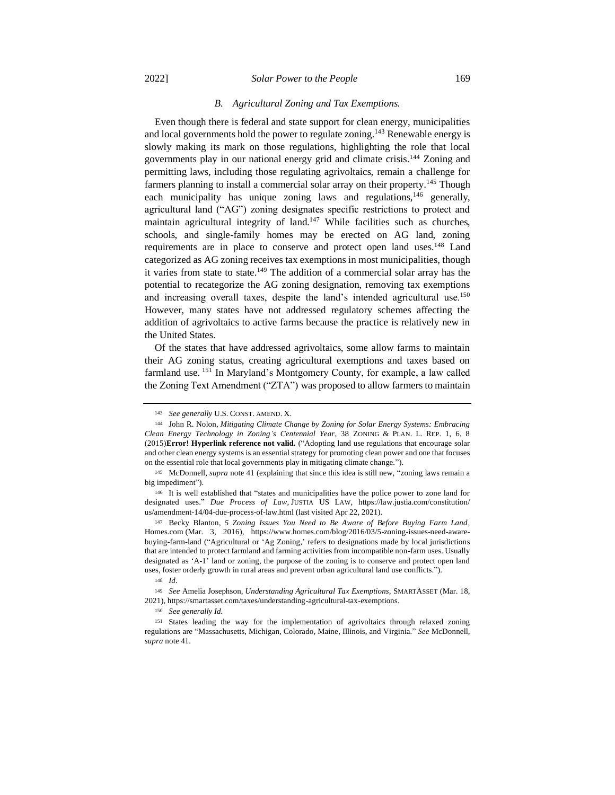#### 2022] *Solar Power to the People* 169

#### *B. Agricultural Zoning and Tax Exemptions.*

Even though there is federal and state support for clean energy, municipalities and local governments hold the power to regulate zoning.<sup>143</sup> Renewable energy is slowly making its mark on those regulations, highlighting the role that local governments play in our national energy grid and climate crisis.<sup>144</sup> Zoning and permitting laws, including those regulating agrivoltaics, remain a challenge for farmers planning to install a commercial solar array on their property.<sup>145</sup> Though each municipality has unique zoning laws and regulations, $146$  generally, agricultural land ("AG") zoning designates specific restrictions to protect and maintain agricultural integrity of land.<sup>147</sup> While facilities such as churches, schools, and single-family homes may be erected on AG land, zoning requirements are in place to conserve and protect open land uses.<sup>148</sup> Land categorized as AG zoning receives tax exemptions in most municipalities, though it varies from state to state.<sup>149</sup> The addition of a commercial solar array has the potential to recategorize the AG zoning designation, removing tax exemptions and increasing overall taxes, despite the land's intended agricultural use.<sup>150</sup> However, many states have not addressed regulatory schemes affecting the addition of agrivoltaics to active farms because the practice is relatively new in the United States.

Of the states that have addressed agrivoltaics, some allow farms to maintain their AG zoning status, creating agricultural exemptions and taxes based on farmland use. <sup>151</sup> In Maryland's Montgomery County, for example, a law called the Zoning Text Amendment ("ZTA") was proposed to allow farmers to maintain

<sup>143</sup> *See generally* U.S. CONST. AMEND. X.

<sup>144</sup> John R. Nolon, *Mitigating Climate Change by Zoning for Solar Energy Systems: Embracing Clean Energy Technology in Zoning's Centennial Year*, 38 ZONING & PLAN. L. REP. 1, 6, 8 (2015)**Error! Hyperlink reference not valid.** ("Adopting land use regulations that encourage solar and other clean energy systems is an essential strategy for promoting clean power and one that focuses on the essential role that local governments play in mitigating climate change.").

<sup>145</sup> McDonnell, *supra* note 41 (explaining that since this idea is still new, "zoning laws remain a big impediment").

<sup>146</sup> It is well established that "states and municipalities have the police power to zone land for designated uses." *Due Process of Law*, JUSTIA US LAW, https://law.justia.com/constitution/ us/amendment-14/04-due-process-of-law.html (last visited Apr 22, 2021).

<sup>147</sup> Becky Blanton, *5 Zoning Issues You Need to Be Aware of Before Buying Farm Land*, Homes.com (Mar. 3, 2016), https://www.homes.com/blog/2016/03/5-zoning-issues-need-awarebuying-farm-land ("Agricultural or 'Ag Zoning,' refers to designations made by local jurisdictions that are intended to protect farmland and farming activities from incompatible non-farm uses. Usually designated as 'A-1' land or zoning, the purpose of the zoning is to conserve and protect open land uses, foster orderly growth in rural areas and prevent urban agricultural land use conflicts.").

<sup>148</sup> *Id*.

<sup>149</sup> *See* Amelia Josephson, *Understanding Agricultural Tax Exemptions,* SMARTASSET (Mar. 18, 2021), https://smartasset.com/taxes/understanding-agricultural-tax-exemptions.

<sup>150</sup> *See generally Id.*

<sup>151</sup> States leading the way for the implementation of agrivoltaics through relaxed zoning regulations are "Massachusetts, Michigan, Colorado, Maine, Illinois, and Virginia." *See* McDonnell, *supra* note 41.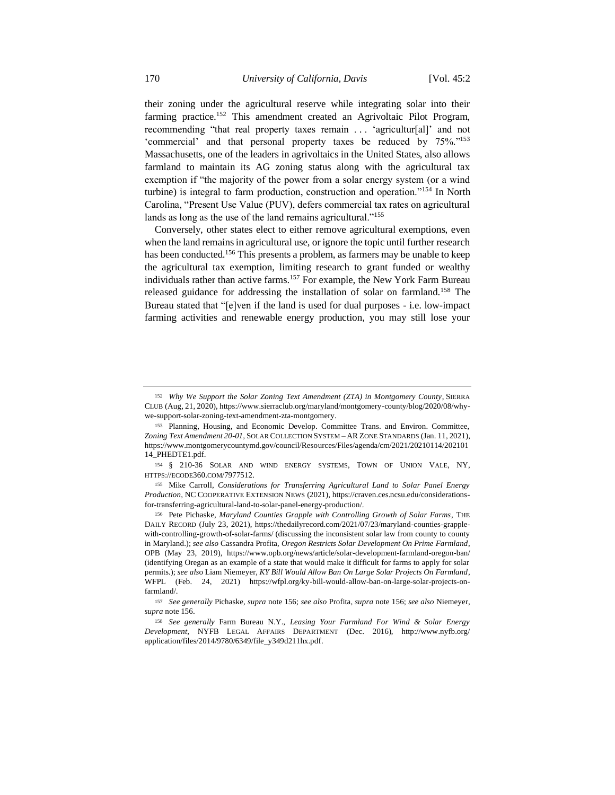their zoning under the agricultural reserve while integrating solar into their farming practice.<sup>152</sup> This amendment created an Agrivoltaic Pilot Program, recommending "that real property taxes remain . . . 'agricultur[al]' and not 'commercial' and that personal property taxes be reduced by 75%."<sup>153</sup> Massachusetts, one of the leaders in agrivoltaics in the United States, also allows farmland to maintain its AG zoning status along with the agricultural tax exemption if "the majority of the power from a solar energy system (or a wind turbine) is integral to farm production, construction and operation."<sup>154</sup> In North Carolina, "Present Use Value (PUV), defers commercial tax rates on agricultural lands as long as the use of the land remains agricultural."<sup>155</sup>

Conversely, other states elect to either remove agricultural exemptions, even when the land remains in agricultural use, or ignore the topic until further research has been conducted.<sup>156</sup> This presents a problem, as farmers may be unable to keep the agricultural tax exemption, limiting research to grant funded or wealthy individuals rather than active farms.<sup>157</sup> For example, the New York Farm Bureau released guidance for addressing the installation of solar on farmland.<sup>158</sup> The Bureau stated that "[e]ven if the land is used for dual purposes - i.e. low-impact farming activities and renewable energy production, you may still lose your

<sup>152</sup> *Why We Support the Solar Zoning Text Amendment (ZTA) in Montgomery County*, SIERRA CLUB (Aug, 21, 2020), https://www.sierraclub.org/maryland/montgomery-county/blog/2020/08/whywe-support-solar-zoning-text-amendment-zta-montgomery.

<sup>153</sup> Planning, Housing, and Economic Develop. Committee Trans. and Environ. Committee, *Zoning Text Amendment 20-01,* SOLAR COLLECTION SYSTEM – AR ZONE STANDARDS (Jan. 11, 2021), https://www.montgomerycountymd.gov/council/Resources/Files/agenda/cm/2021/20210114/202101 14\_PHEDTE1.pdf.

<sup>154</sup> § 210-36 SOLAR AND WIND ENERGY SYSTEMS, TOWN OF UNION VALE, NY, HTTPS://ECODE360.COM/7977512.

<sup>155</sup> Mike Carroll, *Considerations for Transferring Agricultural Land to Solar Panel Energy Production*, NC COOPERATIVE EXTENSION NEWS (2021), https://craven.ces.ncsu.edu/considerationsfor-transferring-agricultural-land-to-solar-panel-energy-production/.

<sup>156</sup> Pete Pichaske, *Maryland Counties Grapple with Controlling Growth of Solar Farms*, THE DAILY RECORD (July 23, 2021), https://thedailyrecord.com/2021/07/23/maryland-counties-grapplewith-controlling-growth-of-solar-farms/ (discussing the inconsistent solar law from county to county in Maryland.); *see also* Cassandra Profita, *Oregon Restricts Solar Development On Prime Farmland*, OPB (May 23, 2019), https://www.opb.org/news/article/solar-development-farmland-oregon-ban/ (identifying Oregan as an example of a state that would make it difficult for farms to apply for solar permits.); *see als*o Liam Niemeyer*, KY Bill Would Allow Ban On Large Solar Projects On Farmland*, WFPL (Feb. 24, 2021) https://wfpl.org/ky-bill-would-allow-ban-on-large-solar-projects-onfarmland/.

<sup>157</sup> *See generally* Pichaske, *supra* note 156; *see also* Profita, *supra* note 156; *see also* Niemeyer, *supra* note 156.

<sup>158</sup> *See generally* Farm Bureau N.Y., *Leasing Your Farmland For Wind & Solar Energy Development*, NYFB LEGAL AFFAIRS DEPARTMENT (Dec. 2016), http://www.nyfb.org/ application/files/2014/9780/6349/file\_y349d211hx.pdf.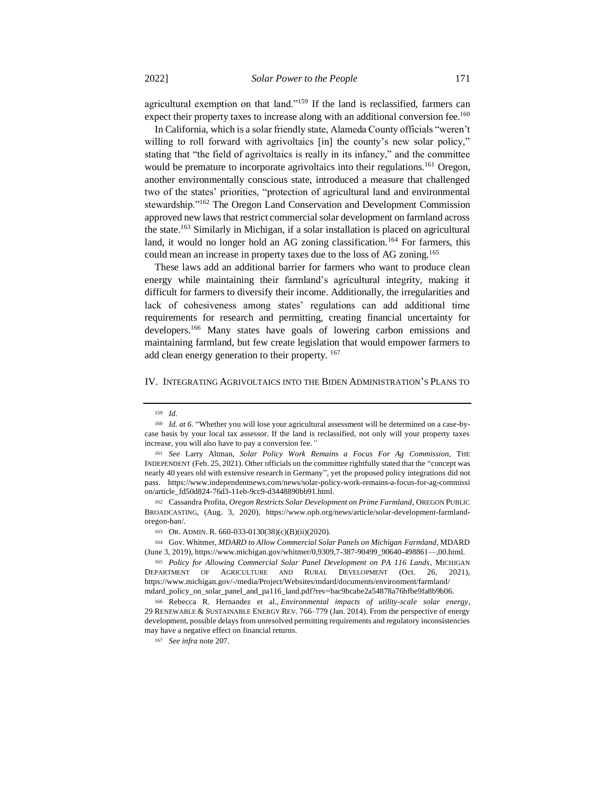agricultural exemption on that land."<sup>159</sup> If the land is reclassified, farmers can expect their property taxes to increase along with an additional conversion fee.<sup>160</sup>

In California, which is a solar friendly state, Alameda County officials "weren't willing to roll forward with agrivoltaics [in] the county's new solar policy," stating that "the field of agrivoltaics is really in its infancy," and the committee would be premature to incorporate agrivoltaics into their regulations.<sup>161</sup> Oregon, another environmentally conscious state, introduced a measure that challenged two of the states' priorities, "protection of agricultural land and environmental stewardship."<sup>162</sup> The Oregon Land Conservation and Development Commission approved new laws that restrict commercial solar development on farmland across the state.<sup>163</sup> Similarly in Michigan, if a solar installation is placed on agricultural land, it would no longer hold an AG zoning classification.<sup>164</sup> For farmers, this could mean an increase in property taxes due to the loss of AG zoning.<sup>165</sup>

These laws add an additional barrier for farmers who want to produce clean energy while maintaining their farmland's agricultural integrity, making it difficult for farmers to diversify their income. Additionally, the irregularities and lack of cohesiveness among states' regulations can add additional time requirements for research and permitting, creating financial uncertainty for developers.<sup>166</sup> Many states have goals of lowering carbon emissions and maintaining farmland, but few create legislation that would empower farmers to add clean energy generation to their property. <sup>167</sup>

# IV. INTEGRATING AGRIVOLTAICS INTO THE BIDEN ADMINISTRATION'S PLANS TO

<sup>159</sup> *Id.*

<sup>&</sup>lt;sup>160</sup> *Id. at 6.* "Whether you will lose your agricultural assessment will be determined on a case-bycase basis by your local tax assessor. If the land is reclassified, not only will your property taxes increase, you will also have to pay a conversion fee.*"*

<sup>161</sup> *See* Larry Altman, *Solar Policy Work Remains a Focus For Ag Commission,* THE INDEPENDENT (Feb. 25, 2021). Other officials on the committee rightfully stated that the "concept was nearly 40 years old with extensive research in Germany", yet the proposed policy integrations did not pass. https://www.independentnews.com/news/solar-policy-work-remains-a-focus-for-ag-commissi on/article\_fd50d824-76d3-11eb-9cc9-d3448890bb91.html.

<sup>162</sup> Cassandra Profita, *Oregon Restricts Solar Development on Prime Farmland,* OREGON PUBLIC BROADCASTING, (Aug. 3, 2020), https://www.opb.org/news/article/solar-development-farmlandoregon-ban/.

<sup>163</sup> OR. ADMIN. R. 660-033-0130(38)(c)(B)(ii)(2020).

<sup>164</sup> Gov. Whitmer*, MDARD to Allow Commercial Solar Panels on Michigan Farmland*, MDARD (June 3, 2019), https://www.michigan.gov/whitmer/0,9309,7-387-90499\_90640-498861—,00.html.

<sup>165</sup> *Policy for Allowing Commercial Solar Panel Development on PA 116 Lands*, MICHIGAN DEPARTMENT OF AGRICULTURE AND RURAL DEVELOPMENT (Oct. 26, 2021), https://www.michigan.gov/-/media/Project/Websites/mdard/documents/environment/farmland/ mdard\_policy\_on\_solar\_panel\_and\_pa116\_land.pdf?rev=bac9bcabe2a54878a76bfbe9fa8b9b06.

<sup>166</sup> Rebecca R. Hernandez et al., *Environmental impacts of utility-scale solar energy*, 29 RENEWABLE & SUSTAINABLE ENERGY REV. 766–779 (Jan. 2014). From the perspective of energy development, possible delays from unresolved permitting requirements and regulatory inconsistencies may have a negative effect on financial returns.

<sup>167</sup> *See infra* note 207.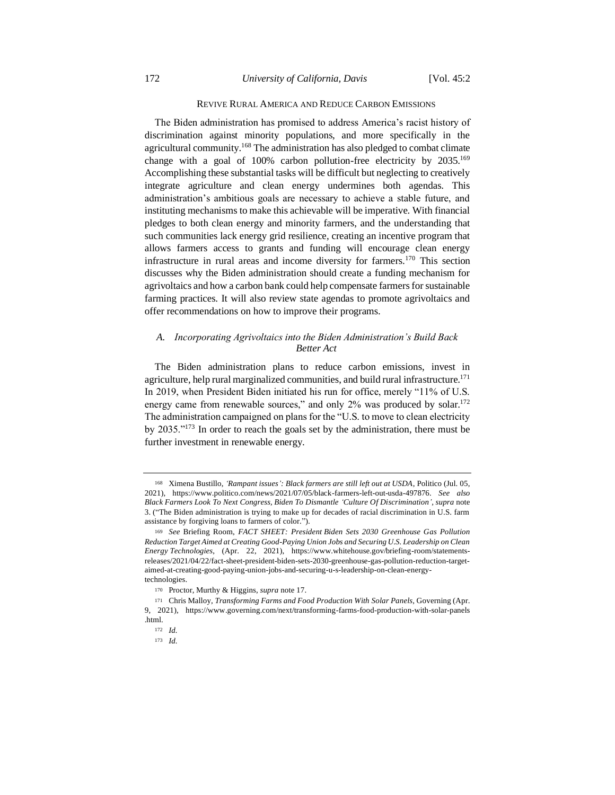# REVIVE RURAL AMERICA AND REDUCE CARBON EMISSIONS

The Biden administration has promised to address America's racist history of discrimination against minority populations, and more specifically in the agricultural community.<sup>168</sup> The administration has also pledged to combat climate change with a goal of 100% carbon pollution-free electricity by 2035.<sup>169</sup> Accomplishing these substantial tasks will be difficult but neglecting to creatively integrate agriculture and clean energy undermines both agendas. This administration's ambitious goals are necessary to achieve a stable future, and instituting mechanisms to make this achievable will be imperative. With financial pledges to both clean energy and minority farmers, and the understanding that such communities lack energy grid resilience, creating an incentive program that allows farmers access to grants and funding will encourage clean energy infrastructure in rural areas and income diversity for farmers.<sup>170</sup> This section discusses why the Biden administration should create a funding mechanism for agrivoltaics and how a carbon bank could help compensate farmers for sustainable farming practices. It will also review state agendas to promote agrivoltaics and offer recommendations on how to improve their programs.

# *A. Incorporating Agrivoltaics into the Biden Administration's Build Back Better Act*

The Biden administration plans to reduce carbon emissions, invest in agriculture, help rural marginalized communities, and build rural infrastructure.<sup>171</sup> In 2019, when President Biden initiated his run for office, merely "11% of U.S. energy came from renewable sources," and only 2% was produced by solar.<sup>172</sup> The administration campaigned on plans for the "U.S. to move to clean electricity by 2035."<sup>173</sup> In order to reach the goals set by the administration, there must be further investment in renewable energy.

<sup>168</sup> Ximena Bustillo, *'Rampant issues': Black farmers are still left out at USDA*, Politico (Jul. 05, 2021), https://www.politico.com/news/2021/07/05/black-farmers-left-out-usda-497876. *See also Black Farmers Look To Next Congress, Biden To Dismantle 'Culture Of Discrimination', supra* note 3. ("The Biden administration is trying to make up for decades of racial discrimination in U.S. farm assistance by forgiving loans to farmers of color.").

<sup>169</sup> *See* Briefing Room, *FACT SHEET: President Biden Sets 2030 Greenhouse Gas Pollution Reduction Target Aimed at Creating Good-Paying Union Jobs and Securing U.S. Leadership on Clean Energy Technologies*, (Apr. 22, 2021), https://www.whitehouse.gov/briefing-room/statementsreleases/2021/04/22/fact-sheet-president-biden-sets-2030-greenhouse-gas-pollution-reduction-targetaimed-at-creating-good-paying-union-jobs-and-securing-u-s-leadership-on-clean-energytechnologies.

<sup>170</sup> Proctor, Murthy & Higgins, *supra* note 17.

<sup>171</sup> Chris Malloy, *Transforming Farms and Food Production With Solar Panels*, Governing (Apr. 9, 2021), https://www.governing.com/next/transforming-farms-food-production-with-solar-panels .html.

<sup>172</sup> *Id.*

<sup>173</sup> *Id.*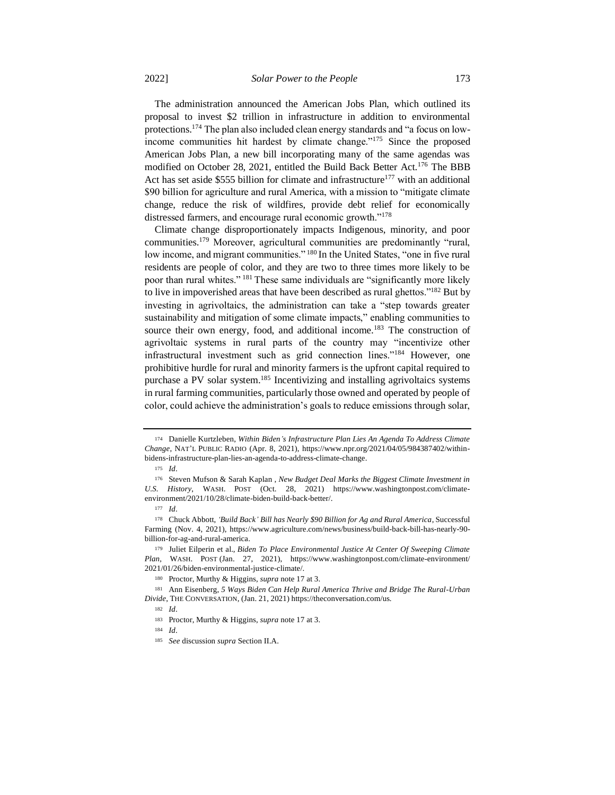The administration announced the American Jobs Plan, which outlined its proposal to invest \$2 trillion in infrastructure in addition to environmental protections.<sup>174</sup> The plan also included clean energy standards and "a focus on lowincome communities hit hardest by climate change."<sup>175</sup> Since the proposed American Jobs Plan, a new bill incorporating many of the same agendas was modified on October 28, 2021, entitled the Build Back Better Act.<sup>176</sup> The BBB Act has set aside \$555 billion for climate and infrastructure<sup>177</sup> with an additional \$90 billion for agriculture and rural America, with a mission to "mitigate climate change, reduce the risk of wildfires, provide debt relief for economically distressed farmers, and encourage rural economic growth."<sup>178</sup>

Climate change disproportionately impacts Indigenous, minority, and poor communities.<sup>179</sup> Moreover, agricultural communities are predominantly "rural, low income, and migrant communities."<sup>180</sup> In the United States, "one in five rural residents are people of color, and they are two to three times more likely to be poor than rural whites." <sup>181</sup> These same individuals are "significantly more likely to live in impoverished areas that have been described as rural ghettos."<sup>182</sup> But by investing in agrivoltaics, the administration can take a "step towards greater sustainability and mitigation of some climate impacts," enabling communities to source their own energy, food, and additional income.<sup>183</sup> The construction of agrivoltaic systems in rural parts of the country may "incentivize other infrastructural investment such as grid connection lines."<sup>184</sup> However, one prohibitive hurdle for rural and minority farmers is the upfront capital required to purchase a PV solar system.<sup>185</sup> Incentivizing and installing agrivoltaics systems in rural farming communities, particularly those owned and operated by people of color, could achieve the administration's goals to reduce emissions through solar,

<sup>174</sup> Danielle Kurtzleben, *Within Biden's Infrastructure Plan Lies An Agenda To Address Climate Change*, NAT'L PUBLIC RADIO (Apr. 8, 2021), https://www.npr.org/2021/04/05/984387402/withinbidens-infrastructure-plan-lies-an-agenda-to-address-climate-change.

<sup>175</sup> *Id*.

<sup>176</sup> Steven Mufson & Sarah Kaplan , *New Budget Deal Marks the Biggest Climate Investment in U.S. History*, WASH. POST (Oct. 28, 2021) https://www.washingtonpost.com/climateenvironment/2021/10/28/climate-biden-build-back-better/.

<sup>177</sup> *Id*.

<sup>178</sup> Chuck Abbott, *'Build Back' Bill has Nearly \$90 Billion for Ag and Rural America*, Successful Farming (Nov. 4, 2021), https://www.agriculture.com/news/business/build-back-bill-has-nearly-90 billion-for-ag-and-rural-america.

<sup>179</sup> Juliet Eilperin et al., *Biden To Place Environmental Justice At Center Of Sweeping Climate Plan,* WASH. POST (Jan. 27, 2021), https://www.washingtonpost.com/climate-environment/ 2021/01/26/biden-environmental-justice-climate/.

<sup>180</sup> Proctor, Murthy & Higgins, *supra* note 17 at 3.

<sup>181</sup> Ann Eisenberg, *5 Ways Biden Can Help Rural America Thrive and Bridge The Rural-Urban Divide*, THE CONVERSATION, (Jan. 21, 2021) https://theconversation.com/us.

<sup>182</sup> *Id*.

<sup>183</sup> Proctor, Murthy & Higgins, *supra* note 17 at 3.

<sup>184</sup> *Id*.

<sup>185</sup> *See* discussion *supra* Section II.A.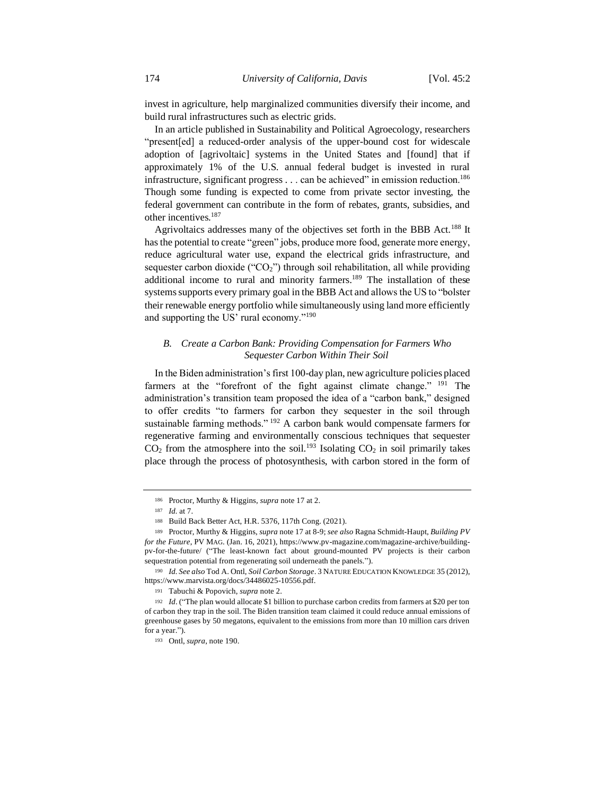invest in agriculture, help marginalized communities diversify their income, and build rural infrastructures such as electric grids.

In an article published in Sustainability and Political Agroecology, researchers "present[ed] a reduced-order analysis of the upper-bound cost for widescale adoption of [agrivoltaic] systems in the United States and [found] that if approximately 1% of the U.S. annual federal budget is invested in rural infrastructure, significant progress . . . can be achieved" in emission reduction.<sup>186</sup> Though some funding is expected to come from private sector investing, the federal government can contribute in the form of rebates, grants, subsidies, and other incentives.<sup>187</sup>

Agrivoltaics addresses many of the objectives set forth in the BBB Act.<sup>188</sup> It has the potential to create "green" jobs, produce more food, generate more energy, reduce agricultural water use, expand the electrical grids infrastructure, and sequester carbon dioxide (" $CO<sub>2</sub>$ ") through soil rehabilitation, all while providing additional income to rural and minority farmers.<sup>189</sup> The installation of these systems supports every primary goal in the BBB Act and allows the US to "bolster their renewable energy portfolio while simultaneously using land more efficiently and supporting the US' rural economy."<sup>190</sup>

# *B. Create a Carbon Bank: Providing Compensation for Farmers Who Sequester Carbon Within Their Soil*

In the Biden administration's first 100-day plan, new agriculture policies placed farmers at the "forefront of the fight against climate change." <sup>191</sup> The administration's transition team proposed the idea of a "carbon bank," designed to offer credits "to farmers for carbon they sequester in the soil through sustainable farming methods." <sup>192</sup> A carbon bank would compensate farmers for regenerative farming and environmentally conscious techniques that sequester  $CO<sub>2</sub>$  from the atmosphere into the soil.<sup>193</sup> Isolating  $CO<sub>2</sub>$  in soil primarily takes place through the process of photosynthesis, with carbon stored in the form of

<sup>186</sup> Proctor, Murthy & Higgins, *supra* note 17 at 2.

<sup>187</sup> *Id.* at 7.

<sup>188</sup> Build Back Better Act, H.R. 5376, 117th Cong. (2021).

<sup>189</sup> Proctor, Murthy & Higgins, *supra* note 17 at 8-9; *see also* Ragna Schmidt-Haupt, *Building PV for the Future*, PV MAG. (Jan. 16, 2021), https://www.pv-magazine.com/magazine-archive/buildingpv-for-the-future/ ("The least-known fact about ground-mounted PV projects is their carbon sequestration potential from regenerating soil underneath the panels.").

<sup>190</sup> *Id. See also* Tod A. Ontl, *Soil Carbon Storage*. 3 NATURE EDUCATION KNOWLEDGE 35 (2012), https://www.marvista.org/docs/34486025-10556.pdf.

<sup>191</sup> Tabuchi & Popovich, *supra* note 2.

<sup>192</sup> *Id*. ("The plan would allocate \$1 billion to purchase carbon credits from farmers at \$20 per ton of carbon they trap in the soil. The Biden transition team claimed it could reduce annual emissions of greenhouse gases by 50 megatons, equivalent to the emissions from more than 10 million cars driven for a year.").

<sup>193</sup> Ontl, *supra*, note 190.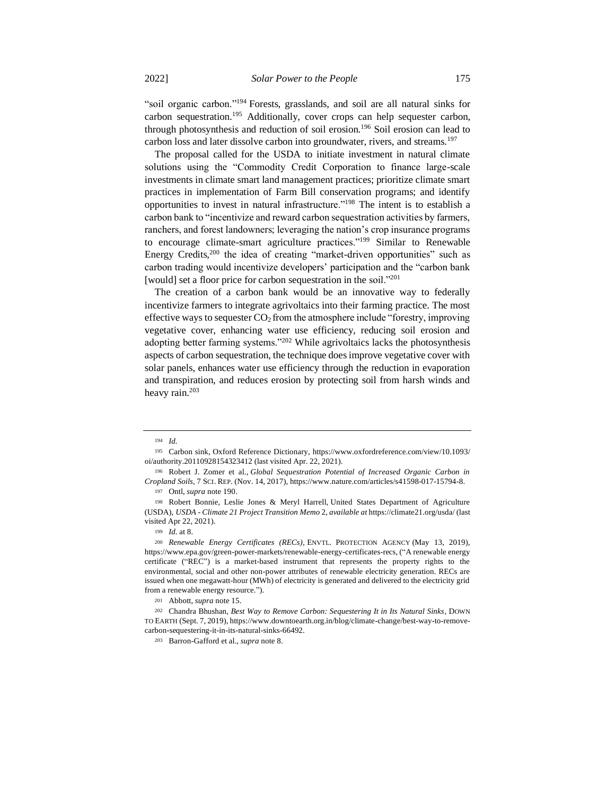"soil organic carbon."<sup>194</sup> Forests, grasslands, and soil are all natural sinks for carbon sequestration.<sup>195</sup> Additionally, cover crops can help sequester carbon, through photosynthesis and reduction of soil erosion.<sup>196</sup> Soil erosion can lead to carbon loss and later dissolve carbon into groundwater, rivers, and streams.<sup>197</sup>

The proposal called for the USDA to initiate investment in natural climate solutions using the "Commodity Credit Corporation to finance large-scale investments in climate smart land management practices; prioritize climate smart practices in implementation of Farm Bill conservation programs; and identify opportunities to invest in natural infrastructure."<sup>198</sup> The intent is to establish a carbon bank to "incentivize and reward carbon sequestration activities by farmers, ranchers, and forest landowners; leveraging the nation's crop insurance programs to encourage climate-smart agriculture practices."<sup>199</sup> Similar to Renewable Energy Credits,<sup>200</sup> the idea of creating "market-driven opportunities" such as carbon trading would incentivize developers' participation and the "carbon bank [would] set a floor price for carbon sequestration in the soil."201

The creation of a carbon bank would be an innovative way to federally incentivize farmers to integrate agrivoltaics into their farming practice. The most effective ways to sequester  $CO<sub>2</sub>$  from the atmosphere include "forestry, improving vegetative cover, enhancing water use efficiency, reducing soil erosion and adopting better farming systems."<sup>202</sup> While agrivoltaics lacks the photosynthesis aspects of carbon sequestration, the technique does improve vegetative cover with solar panels, enhances water use efficiency through the reduction in evaporation and transpiration, and reduces erosion by protecting soil from harsh winds and heavy rain.<sup>203</sup>

<sup>194</sup> *Id.*

<sup>195</sup> Carbon sink, Oxford Reference Dictionary, https://www.oxfordreference.com/view/10.1093/ oi/authority.20110928154323412 (last visited Apr. 22, 2021).

<sup>196</sup> Robert J. Zomer et al., *Global Sequestration Potential of Increased Organic Carbon in Cropland Soils*, 7 SCI. REP. (Nov. 14, 2017), https://www.nature.com/articles/s41598-017-15794-8.

<sup>197</sup> Ontl, *supra* note 190.

<sup>198</sup> Robert Bonnie, Leslie Jones & Meryl Harrell, United States Department of Agriculture (USDA), *USDA - Climate 21 Project Transition Memo* 2, *available at* https://climate21.org/usda/ (last visited Apr 22, 2021).

<sup>199</sup> *Id.* at 8.

<sup>200</sup> *Renewable Energy Certificates (RECs),* ENVTL. PROTECTION AGENCY (May 13, 2019), https://www.epa.gov/green-power-markets/renewable-energy-certificates-recs, ("A renewable energy certificate ("REC") is a market-based instrument that represents the property rights to the environmental, social and other non-power attributes of renewable electricity generation. RECs are issued when one megawatt-hour (MWh) of electricity is generated and delivered to the electricity grid from a renewable energy resource.").

<sup>201</sup> Abbott, *supra* note 15.

<sup>202</sup> Chandra Bhushan, *Best Way to Remove Carbon: Sequestering It in Its Natural Sinks*, DOWN TO EARTH (Sept. 7, 2019), https://www.downtoearth.org.in/blog/climate-change/best-way-to-removecarbon-sequestering-it-in-its-natural-sinks-66492.

<sup>203</sup> Barron-Gafford et al., *supra* note 8.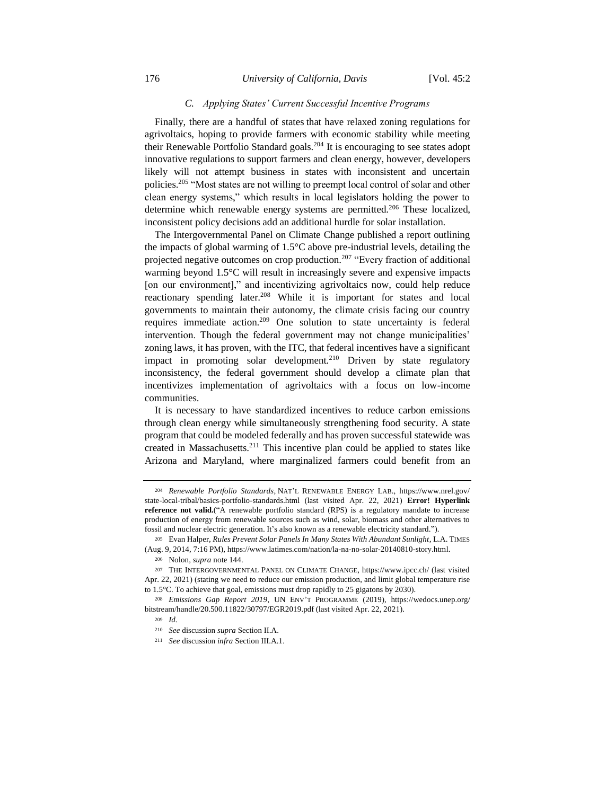# *C. Applying States' Current Successful Incentive Programs*

Finally, there are a handful of states that have relaxed zoning regulations for agrivoltaics, hoping to provide farmers with economic stability while meeting their Renewable Portfolio Standard goals.<sup>204</sup> It is encouraging to see states adopt innovative regulations to support farmers and clean energy, however, developers likely will not attempt business in states with inconsistent and uncertain policies.<sup>205</sup> "Most states are not willing to preempt local control of solar and other clean energy systems," which results in local legislators holding the power to determine which renewable energy systems are permitted.<sup>206</sup> These localized, inconsistent policy decisions add an additional hurdle for solar installation.

The Intergovernmental Panel on Climate Change published a report outlining the impacts of global warming of 1.5°C above pre-industrial levels, detailing the projected negative outcomes on crop production.<sup>207</sup> "Every fraction of additional warming beyond 1.5°C will result in increasingly severe and expensive impacts [on our environment]," and incentivizing agrivoltaics now, could help reduce reactionary spending later.<sup>208</sup> While it is important for states and local governments to maintain their autonomy, the climate crisis facing our country requires immediate action.<sup>209</sup> One solution to state uncertainty is federal intervention. Though the federal government may not change municipalities' zoning laws, it has proven, with the ITC, that federal incentives have a significant impact in promoting solar development.<sup>210</sup> Driven by state regulatory inconsistency, the federal government should develop a climate plan that incentivizes implementation of agrivoltaics with a focus on low-income communities.

It is necessary to have standardized incentives to reduce carbon emissions through clean energy while simultaneously strengthening food security. A state program that could be modeled federally and has proven successful statewide was created in Massachusetts.<sup>211</sup> This incentive plan could be applied to states like Arizona and Maryland, where marginalized farmers could benefit from an

<sup>204</sup> *Renewable Portfolio Standards*, NAT'L RENEWABLE ENERGY LAB., https://www.nrel.gov/ state-local-tribal/basics-portfolio-standards.html (last visited Apr. 22, 2021) **Error! Hyperlink reference not valid.**("A renewable portfolio standard (RPS) is a regulatory mandate to increase production of energy from renewable sources such as wind, solar, biomass and other alternatives to fossil and nuclear electric generation. It's also known as a renewable electricity standard.").

<sup>205</sup> Evan Halper, *Rules Prevent Solar Panels In Many States With Abundant Sunlight*, L.A. TIMES (Aug. 9, 2014, 7:16 PM), [https://www.latimes.com/nation/la-na-no-solar-20140810-story.html.](about:blank)

<sup>206</sup> Nolon, *supra* note 144.

<sup>207</sup> THE INTERGOVERNMENTAL PANEL ON CLIMATE CHANGE, https://www.ipcc.ch/ (last visited Apr. 22, 2021) (stating we need to reduce our emission production, and limit global temperature rise to 1.5°C. To achieve that goal, emissions must drop rapidly to 25 gigatons by 2030).

<sup>208</sup> *Emissions Gap Report 2019*, UN ENV'T PROGRAMME (2019), https://wedocs.unep.org/ bitstream/handle/20.500.11822/30797/EGR2019.pdf (last visited Apr. 22, 2021).

<sup>209</sup> *Id.*

<sup>210</sup> *See* discussion *supra* Section II.A.

<sup>211</sup> *See* discussion *infra* Section III.A.1.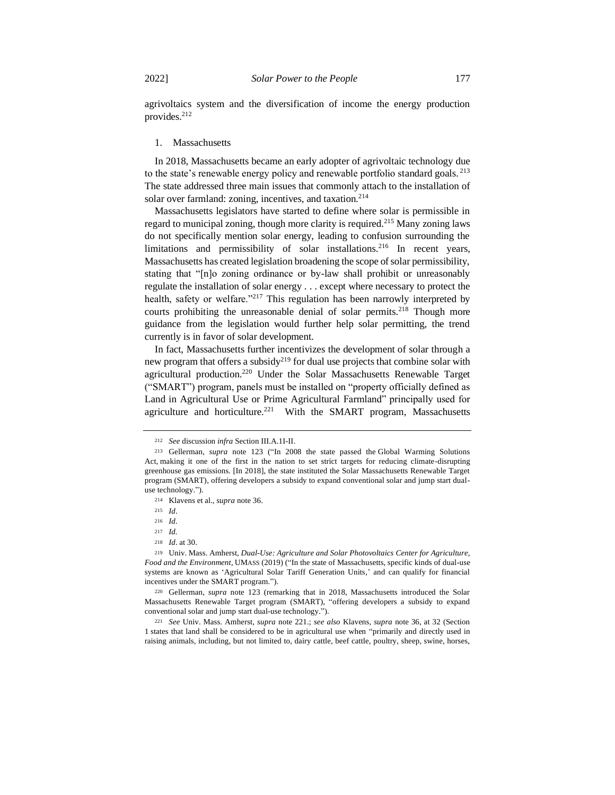agrivoltaics system and the diversification of income the energy production provides.<sup>212</sup>

# 1. Massachusetts

In 2018, Massachusetts became an early adopter of agrivoltaic technology due to the state's renewable energy policy and renewable portfolio standard goals.<sup>213</sup> The state addressed three main issues that commonly attach to the installation of solar over farmland: zoning, incentives, and taxation.<sup>214</sup>

Massachusetts legislators have started to define where solar is permissible in regard to municipal zoning, though more clarity is required.<sup>215</sup> Many zoning laws do not specifically mention solar energy, leading to confusion surrounding the limitations and permissibility of solar installations.<sup>216</sup> In recent years, Massachusetts has created legislation broadening the scope of solar permissibility, stating that "[n]o zoning ordinance or by-law shall prohibit or unreasonably regulate the installation of solar energy . . . except where necessary to protect the health, safety or welfare."<sup>217</sup> This regulation has been narrowly interpreted by courts prohibiting the unreasonable denial of solar permits.<sup>218</sup> Though more guidance from the legislation would further help solar permitting, the trend currently is in favor of solar development.

In fact, Massachusetts further incentivizes the development of solar through a new program that offers a subsidy<sup>219</sup> for dual use projects that combine solar with agricultural production.<sup>220</sup> Under the Solar Massachusetts Renewable Target ("SMART") program, panels must be installed on "property officially defined as Land in Agricultural Use or Prime Agricultural Farmland" principally used for agriculture and horticulture.<sup>221</sup> With the SMART program, Massachusetts

<sup>218</sup> *Id*. at 30.

<sup>220</sup> Gellerman, *supra* note 123 (remarking that in 2018, Massachusetts introduced the Solar Massachusetts Renewable Target program [\(SMART\)](about:blank), "offering developers a subsidy to expand conventional solar and jump start dual-use technology.").

<sup>221</sup> *See* Univ. Mass. Amherst, *supra* note 221.; *see also* Klavens, *supra* note 36, at 32 (Section 1 states that land shall be considered to be in agricultural use when "primarily and directly used in raising animals, including, but not limited to, dairy cattle, beef cattle, poultry, sheep, swine, horses,

<sup>212</sup> *See* discussion *infra* Section III.A.1I-II.

<sup>213</sup> Gellerman, *supra* note 123 ("In 2008 the state passed the [Global Warming Solutions](about:blank)  [Act,](about:blank) making it one of the first in the nation to set strict targets for reducing climate-disrupting greenhouse gas emissions. [In 2018], the state instituted the Solar Massachusetts Renewable Target program (SMART), offering developers a subsidy to expand conventional solar and jump start dualuse technology.").

<sup>214</sup> Klavens et al., *supra* note 36.

<sup>215</sup> *Id*.

<sup>216</sup> *Id*.

<sup>217</sup> *Id.*

<sup>219</sup> Univ. Mass. Amherst, *Dual-Use: Agriculture and Solar Photovoltaics Center for Agriculture, Food and the Environment*, UMASS (2019) ("In the state of Massachusetts, specific kinds of dual-use systems are known as 'Agricultural Solar Tariff Generation Units,' and can qualify for financial incentives under the SMART program.").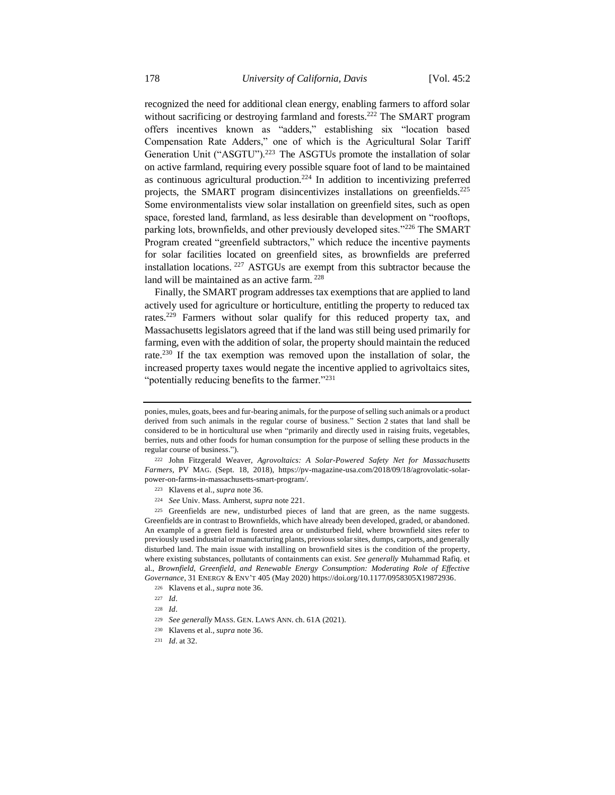recognized the need for additional clean energy, enabling farmers to afford solar without sacrificing or destroying farmland and forests.<sup>222</sup> The SMART program offers incentives known as "adders," establishing six "location based Compensation Rate Adders," one of which is the Agricultural Solar Tariff Generation Unit ("ASGTU").<sup>223</sup> The ASGTUs promote the installation of solar on active farmland, requiring every possible square foot of land to be maintained as continuous agricultural production.<sup>224</sup> In addition to incentivizing preferred projects, the SMART program disincentivizes installations on greenfields.<sup>225</sup> Some environmentalists view solar installation on greenfield sites, such as open space, forested land, farmland, as less desirable than development on "rooftops, parking lots, brownfields, and other previously developed sites."<sup>226</sup> The SMART Program created "greenfield subtractors," which reduce the incentive payments for solar facilities located on greenfield sites, as brownfields are preferred installation locations. <sup>227</sup> ASTGUs are exempt from this subtractor because the land will be maintained as an active farm. <sup>228</sup>

Finally, the SMART program addresses tax exemptions that are applied to land actively used for agriculture or horticulture, entitling the property to reduced tax rates.<sup>229</sup> Farmers without solar qualify for this reduced property tax, and Massachusetts legislators agreed that if the land was still being used primarily for farming, even with the addition of solar, the property should maintain the reduced rate.<sup>230</sup> If the tax exemption was removed upon the installation of solar, the increased property taxes would negate the incentive applied to agrivoltaics sites, "potentially reducing benefits to the farmer."<sup>231</sup>

<sup>225</sup> Greenfields are new, undisturbed pieces of land that are green, as the name suggests. Greenfields are in contrast to Brownfields, which have already been developed, graded, or abandoned. An example of a green field is forested area or undisturbed field, where brownfield sites refer to previously used industrial or manufacturing plants, previous solar sites, dumps, carports, and generally disturbed land. The main issue with installing on brownfield sites is the condition of the property, where existing substances, pollutants of containments can exist. *See generally* Muhammad Rafiq. et al., *Brownfield, Greenfield, and Renewable Energy Consumption: Moderating Role of Effective Governance*, 31 ENERGY & ENV'T 405 (May 2020) [https://doi.org/10.1177/0958305X19872936.](about:blank)

ponies, mules, goats, bees and fur-bearing animals, for the purpose of selling such animals or a product derived from such animals in the regular course of business." Section 2 states that land shall be considered to be in horticultural use when "primarily and directly used in raising fruits, vegetables, berries, nuts and other foods for human consumption for the purpose of selling these products in the regular course of business.").

<sup>222</sup> John Fitzgerald Weaver, *Agrovoltaics: A Solar-Powered Safety Net for Massachusetts Farmers*, PV MAG. (Sept. 18, 2018), https://pv-magazine-usa.com/2018/09/18/agrovolatic-solarpower-on-farms-in-massachusetts-smart-program/.

<sup>223</sup> Klavens et al.*, supra* note 36.

<sup>224</sup> *See* Univ. Mass. Amherst, *supra* note 221.

<sup>226</sup> Klavens et al.*, supra* note 36.

<sup>227</sup> *Id*.

<sup>228</sup> *Id*.

<sup>229</sup> *See generally* MASS. GEN. LAWS ANN. ch. 61A (2021).

<sup>230</sup> Klavens et al.*, supra* note 36.

<sup>231</sup> *Id*. at 32.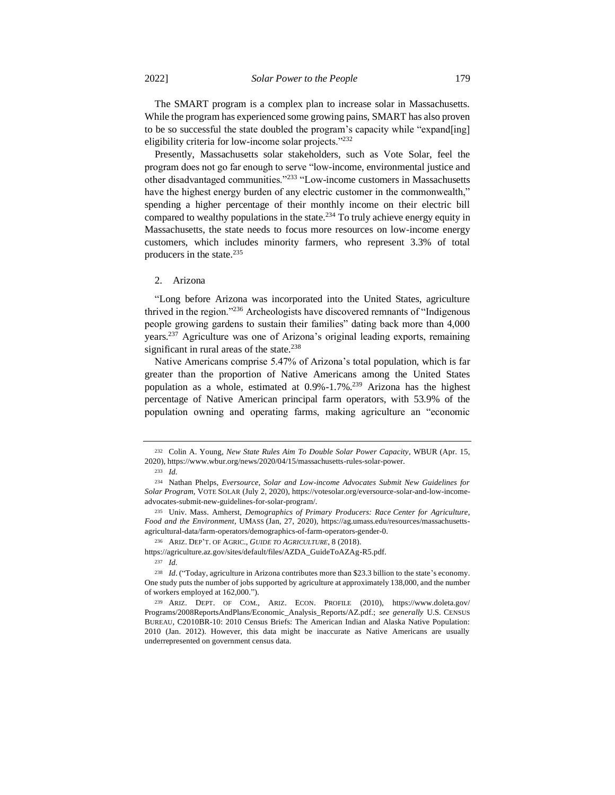The SMART program is a complex plan to increase solar in Massachusetts. While the program has experienced some growing pains, SMART has also proven to be so successful the state doubled the program's capacity while "expand[ing] eligibility criteria for low-income solar projects."<sup>232</sup>

Presently, Massachusetts solar stakeholders, such as Vote Solar, feel the program does not go far enough to serve "low-income, environmental justice and other disadvantaged communities."<sup>233</sup> "Low-income customers in Massachusetts have the highest energy burden of any electric customer in the commonwealth," spending a higher percentage of their monthly income on their electric bill compared to wealthy populations in the state.<sup>234</sup> To truly achieve energy equity in Massachusetts, the state needs to focus more resources on low-income energy customers, which includes minority farmers, who represent 3.3% of total producers in the state.<sup>235</sup>

#### 2. Arizona

"Long before Arizona was incorporated into the United States, agriculture thrived in the region."<sup>236</sup> Archeologists have discovered remnants of "Indigenous people growing gardens to sustain their families" dating back more than 4,000 years.<sup>237</sup> Agriculture was one of Arizona's original leading exports, remaining significant in rural areas of the state. $238$ 

Native Americans comprise 5.47% of Arizona's total population, which is far greater than the proportion of Native Americans among the United States population as a whole, estimated at 0.9%-1.7%.<sup>239</sup> Arizona has the highest percentage of Native American principal farm operators, with 53.9% of the population owning and operating farms, making agriculture an "economic

<sup>232</sup> Colin A. Young, *New State Rules Aim To Double Solar Power Capacity*, WBUR (Apr. 15, 2020), https://www.wbur.org/news/2020/04/15/massachusetts-rules-solar-power.

<sup>233</sup> *Id.*

<sup>234</sup> Nathan Phelps, *Eversource, Solar and Low-income Advocates Submit New Guidelines for Solar Program,* VOTE SOLAR (July 2, 2020), https://votesolar.org/eversource-solar-and-low-incomeadvocates-submit-new-guidelines-for-solar-program/.

<sup>235</sup> Univ. Mass. Amherst, *Demographics of Primary Producers: Race Center for Agriculture, Food and the Environment*, UMASS (Jan, 27, 2020), https://ag.umass.edu/resources/massachusettsagricultural-data/farm-operators/demographics-of-farm-operators-gender-0.

<sup>236</sup> ARIZ. DEP'T. OF AGRIC., *GUIDE TO AGRICULTURE*, 8 (2018).

https://agriculture.az.gov/sites/default/files/AZDA\_GuideToAZAg-R5.pdf.

<sup>237</sup> *Id.*

<sup>238</sup> *Id*. ("Today, agriculture in Arizona contributes more than \$23.3 billion to the state's economy. One study puts the number of jobs supported by agriculture at approximately 138,000, and the number of workers employed at 162,000.").

<sup>239</sup> ARIZ. DEPT. OF COM., ARIZ. ECON. PROFILE (2010), https://www.doleta.gov/ Programs/2008ReportsAndPlans/Economic\_Analysis\_Reports/AZ.pdf.; *see generally* U.S. CENSUS BUREAU, C2010BR-10: 2010 Census Briefs: The American Indian and Alaska Native Population: 2010 (Jan. 2012). However, this data might be inaccurate as Native Americans are usually underrepresented on government census data.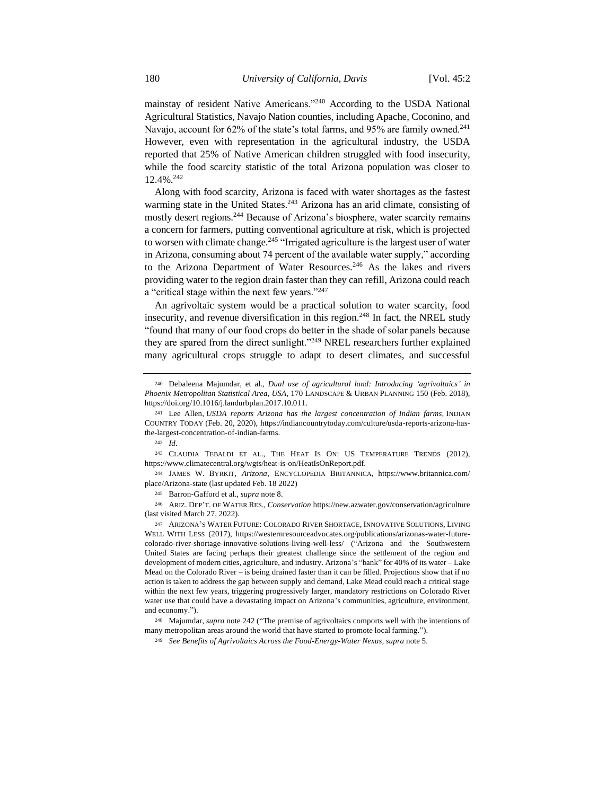mainstay of resident Native Americans."<sup>240</sup> According to the USDA National Agricultural Statistics, Navajo Nation counties, including Apache, Coconino, and Navajo, account for 62% of the state's total farms, and 95% are family owned.<sup>241</sup> However, even with representation in the agricultural industry, the USDA reported that 25% of Native American children struggled with food insecurity, while the food scarcity statistic of the total Arizona population was closer to 12.4%.<sup>242</sup>

Along with food scarcity, Arizona is faced with water shortages as the fastest warming state in the United States.<sup>243</sup> Arizona has an arid climate, consisting of mostly desert regions.<sup>244</sup> Because of Arizona's biosphere, water scarcity remains a concern for farmers, putting conventional agriculture at risk, which is projected to worsen with climate change.<sup>245</sup> "Irrigated agriculture is the largest user of water in Arizona, consuming about 74 percent of the available water supply," according to the Arizona Department of Water Resources.<sup>246</sup> As the lakes and rivers providing water to the region drain faster than they can refill, Arizona could reach a "critical stage within the next few years."<sup>247</sup>

An agrivoltaic system would be a practical solution to water scarcity, food insecurity, and revenue diversification in this region. <sup>248</sup> In fact, the NREL study "found that many of our food crops do better in the shade of solar panels because they are spared from the direct sunlight."<sup>249</sup> NREL researchers further explained many agricultural crops struggle to adapt to desert climates, and successful

<sup>243</sup> CLAUDIA TEBALDI ET AL., THE HEAT IS ON: US TEMPERATURE TRENDS (2012), https://www.climatecentral.org/wgts/heat-is-on/HeatIsOnReport.pdf.

<sup>244</sup> JAMES W. BYRKIT, *Arizona*, ENCYCLOPEDIA BRITANNICA, https://www.britannica.com/ place/Arizona-state (last updated Feb. 18 2022)

<sup>246</sup> ARIZ. DEP'T. OF WATER RES., *Conservation* https://new.azwater.gov/conservation/agriculture (last visited March 27, 2022).

<sup>247</sup> ARIZONA'S WATER FUTURE: COLORADO RIVER SHORTAGE, INNOVATIVE SOLUTIONS, LIVING WELL WITH LESS (2017), [https://westernresourceadvocates.org/publications/arizonas-water-future](about:blank)[colorado-river-shortage-innovative-solutions-living-well-less/](about:blank) ("Arizona and the Southwestern United States are facing perhaps their greatest challenge since the settlement of the region and development of modern cities, agriculture, and industry. Arizona's "bank" for 40% of its water – Lake Mead on the Colorado River – is being drained faster than it can be filled. Projections show that if no action is taken to address the gap between supply and demand, Lake Mead could reach a critical stage within the next few years, triggering progressively larger, mandatory restrictions on Colorado River water use that could have a devastating impact on Arizona's communities, agriculture, environment, and economy.").

<sup>248</sup> Majumdar, *supra* note 242 ("The premise of agrivoltaics comports well with the intentions of many metropolitan areas around the world that have started to promote local farming.").

<sup>240</sup> Debaleena Majumdar, et al., *Dual use of agricultural land: Introducing 'agrivoltaics' in Phoenix Metropolitan Statistical Area, USA*, 170 LANDSCAPE & URBAN PLANNING 150 (Feb. 2018), [https://doi.org/10.1016/j.landurbplan.2017.10.011.](about:blank)

<sup>241</sup> Lee Allen, *USDA reports Arizona has the largest concentration of Indian farms,* INDIAN COUNTRY TODAY (Feb. 20, 2020), https://indiancountrytoday.com/culture/usda-reports-arizona-hasthe-largest-concentration-of-indian-farms.

<sup>242</sup> *Id*.

<sup>245</sup> Barron-Gafford et al., *supra* note 8.

<sup>249</sup> *See Benefits of Agrivoltaics Across the Food-Energy-Water Nexus, supra* note 5.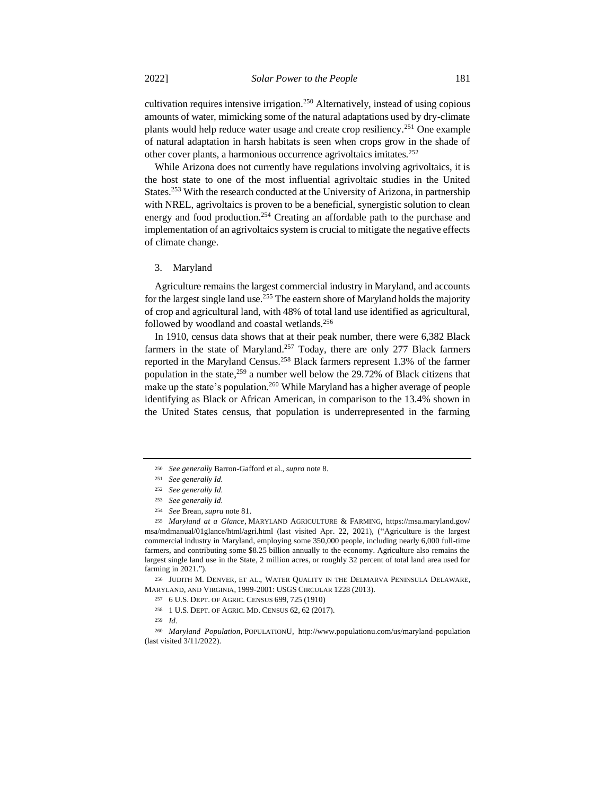cultivation requires intensive irrigation.<sup>250</sup> Alternatively, instead of using copious amounts of water, mimicking some of the natural adaptations used by dry-climate plants would help reduce water usage and create crop resiliency.<sup>251</sup> One example of natural adaptation in harsh habitats is seen when crops grow in the shade of other cover plants, a harmonious occurrence agrivoltaics imitates.<sup>252</sup>

While Arizona does not currently have regulations involving agrivoltaics, it is the host state to one of the most influential agrivoltaic studies in the United States.<sup>253</sup> With the research conducted at the University of Arizona, in partnership with NREL, agrivoltaics is proven to be a beneficial, synergistic solution to clean energy and food production.<sup>254</sup> Creating an affordable path to the purchase and implementation of an agrivoltaics system is crucial to mitigate the negative effects of climate change.

#### 3. Maryland

Agriculture remains the largest commercial industry in Maryland, and accounts for the largest single land use.<sup>255</sup> The eastern shore of Maryland holds the majority of crop and agricultural land, with 48% of total land use identified as agricultural, followed by woodland and coastal wetlands.<sup>256</sup>

In 1910, census data shows that at their peak number, there were 6,382 Black farmers in the state of Maryland.<sup>257</sup> Today, there are only 277 Black farmers reported in the Maryland Census.<sup>258</sup> Black farmers represent 1.3% of the farmer population in the state, $259$  a number well below the 29.72% of Black citizens that make up the state's population.<sup>260</sup> While Maryland has a higher average of people identifying as Black or African American, in comparison to the 13.4% shown in the United States census, that population is underrepresented in the farming

<sup>256</sup> JUDITH M. DENVER, ET AL., WATER QUALITY IN THE DELMARVA PENINSULA DELAWARE, MARYLAND, AND VIRGINIA, 1999-2001: USGS CIRCULAR 1228 (2013).

<sup>250</sup> *See generally* Barron-Gafford et al., *supra* note 8.

<sup>251</sup> *See generally Id.*

<sup>252</sup> *See generally Id.*

<sup>253</sup> *See generally Id.*

<sup>254</sup> *See* Brean, *supra* note 81.

<sup>255</sup> *Maryland at a Glance*, MARYLAND AGRICULTURE & FARMING, https://msa.maryland.gov/ msa/mdmanual/01glance/html/agri.html (last visited Apr. 22, 2021), ("Agriculture is the largest commercial industry in Maryland, employing some 350,000 people, including nearly 6,000 full-time farmers, and contributing some \$8.25 billion annually to the economy. Agriculture also remains the largest single land use in the State, 2 million acres, or roughly 32 percent of total land area used for farming in 2021.").

<sup>257</sup> 6 U.S. DEPT. OF AGRIC. CENSUS 699, 725 (1910)

<sup>258</sup> 1 U.S. DEPT. OF AGRIC. MD. CENSUS 62, 62 (2017).

<sup>259</sup> *Id.*

<sup>260</sup> *Maryland Population*, POPULATIONU, http://www.populationu.com/us/maryland-population (last visited 3/11/2022).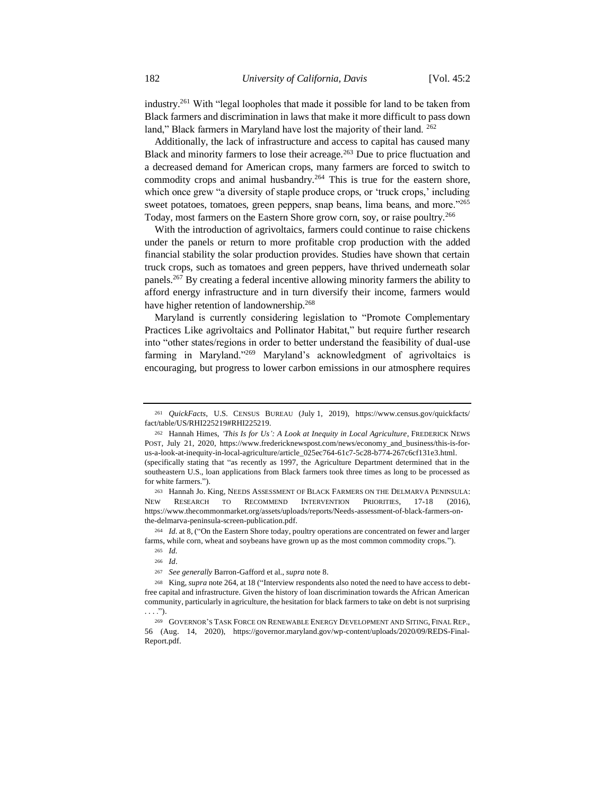industry.<sup>261</sup> With "legal loopholes that made it possible for land to be taken from Black farmers and discrimination in laws that make it more difficult to pass down land," Black farmers in Maryland have lost the majority of their land. <sup>262</sup>

Additionally, the lack of infrastructure and access to capital has caused many Black and minority farmers to lose their acreage.<sup>263</sup> Due to price fluctuation and a decreased demand for American crops, many farmers are forced to switch to commodity crops and animal husbandry.<sup>264</sup> This is true for the eastern shore, which once grew "a diversity of staple produce crops, or 'truck crops,' including sweet potatoes, tomatoes, green peppers, snap beans, lima beans, and more."<sup>265</sup> Today, most farmers on the Eastern Shore grow corn, soy, or raise poultry.<sup>266</sup>

With the introduction of agrivoltaics, farmers could continue to raise chickens under the panels or return to more profitable crop production with the added financial stability the solar production provides. Studies have shown that certain truck crops, such as tomatoes and green peppers, have thrived underneath solar panels.<sup>267</sup> By creating a federal incentive allowing minority farmers the ability to afford energy infrastructure and in turn diversify their income, farmers would have higher retention of landownership.<sup>268</sup>

Maryland is currently considering legislation to "Promote Complementary Practices Like agrivoltaics and Pollinator Habitat," but require further research into "other states/regions in order to better understand the feasibility of dual-use farming in Maryland."<sup>269</sup> Maryland's acknowledgment of agrivoltaics is encouraging, but progress to lower carbon emissions in our atmosphere requires

<sup>263</sup> Hannah Jo. King, NEEDS ASSESSMENT OF BLACK FARMERS ON THE DELMARVA PENINSULA: NEW RESEARCH TO RECOMMEND INTERVENTION PRIORITIES, 17-18 (2016), https://www.thecommonmarket.org/assets/uploads/reports/Needs-assessment-of-black-farmers-onthe-delmarva-peninsula-screen-publication.pdf.

<sup>264</sup> *Id.* at 8, ("On the Eastern Shore today, poultry operations are concentrated on fewer and larger farms, while corn, wheat and soybeans have grown up as the most common commodity crops.").

<sup>267</sup> *See generally* Barron-Gafford et al., *supra* note 8.

<sup>261</sup> *QuickFacts*, U.S. CENSUS BUREAU (July 1, 2019), https://www.census.gov/quickfacts/ fact/table/US/RHI225219#RHI225219.

<sup>262</sup> Hannah Himes, *'This Is for Us': A Look at Inequity in Local Agriculture*, FREDERICK NEWS POST, July 21, 2020, https://www.fredericknewspost.com/news/economy\_and\_business/this-is-forus-a-look-at-inequity-in-local-agriculture/article\_025ec764-61c7-5c28-b774-267c6cf131e3.html. (specifically stating that "as recently as 1997, the Agriculture Department determined that in the southeastern U.S., loan applications from Black farmers took three times as long to be processed as for white farmers.").

<sup>265</sup> *Id.*

<sup>266</sup> *Id*.

<sup>268</sup> King, *supra* note 264, at 18 ("Interview respondents also noted the need to have access to debtfree capital and infrastructure. Given the history of loan discrimination towards the African American community, particularly in agriculture, the hesitation for black farmers to take on debt is not surprising . . . .").

<sup>269</sup> GOVERNOR'S TASK FORCE ON RENEWABLE ENERGY DEVELOPMENT AND SITING, FINAL REP., 56 (Aug. 14, 2020), https://governor.maryland.gov/wp-content/uploads/2020/09/REDS-Final-Report.pdf.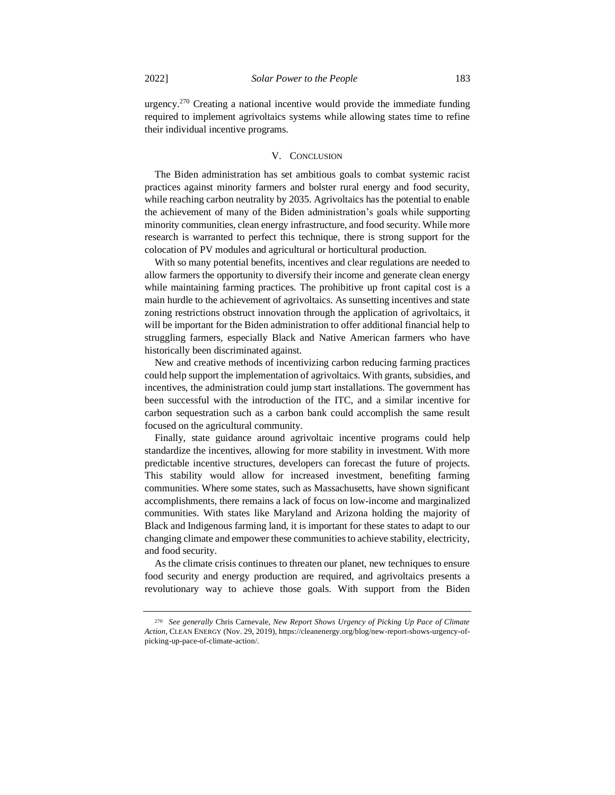urgency.<sup>270</sup> Creating a national incentive would provide the immediate funding required to implement agrivoltaics systems while allowing states time to refine their individual incentive programs.

#### V. CONCLUSION

The Biden administration has set ambitious goals to combat systemic racist practices against minority farmers and bolster rural energy and food security, while reaching carbon neutrality by 2035. Agrivoltaics has the potential to enable the achievement of many of the Biden administration's goals while supporting minority communities, clean energy infrastructure, and food security. While more research is warranted to perfect this technique, there is strong support for the colocation of PV modules and agricultural or horticultural production.

With so many potential benefits, incentives and clear regulations are needed to allow farmers the opportunity to diversify their income and generate clean energy while maintaining farming practices. The prohibitive up front capital cost is a main hurdle to the achievement of agrivoltaics. As sunsetting incentives and state zoning restrictions obstruct innovation through the application of agrivoltaics, it will be important for the Biden administration to offer additional financial help to struggling farmers, especially Black and Native American farmers who have historically been discriminated against.

New and creative methods of incentivizing carbon reducing farming practices could help support the implementation of agrivoltaics. With grants, subsidies, and incentives, the administration could jump start installations. The government has been successful with the introduction of the ITC, and a similar incentive for carbon sequestration such as a carbon bank could accomplish the same result focused on the agricultural community.

Finally, state guidance around agrivoltaic incentive programs could help standardize the incentives, allowing for more stability in investment. With more predictable incentive structures, developers can forecast the future of projects. This stability would allow for increased investment, benefiting farming communities. Where some states, such as Massachusetts, have shown significant accomplishments, there remains a lack of focus on low-income and marginalized communities. With states like Maryland and Arizona holding the majority of Black and Indigenous farming land, it is important for these states to adapt to our changing climate and empower these communities to achieve stability, electricity, and food security.

As the climate crisis continues to threaten our planet, new techniques to ensure food security and energy production are required, and agrivoltaics presents a revolutionary way to achieve those goals. With support from the Biden

<sup>270</sup> *See generally* Chris Carnevale, *New Report Shows Urgency of Picking Up Pace of Climate Action*, CLEAN ENERGY (Nov. 29, 2019), https://cleanenergy.org/blog/new-report-shows-urgency-ofpicking-up-pace-of-climate-action/.